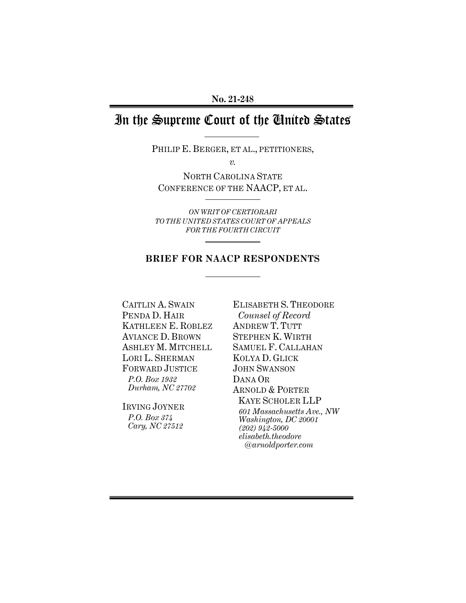# In the Supreme Court of the United States

PHILIP E. BERGER, ET AL., PETITIONERS,

*v.* 

NORTH CAROLINA STATE CONFERENCE OF THE NAACP, ET AL.

*ON WRIT OF CERTIORARI TO THE UNITED STATES COURT OF APPEALS FOR THE FOURTH CIRCUIT* 

# **BRIEF FOR NAACP RESPONDENTS**

CAITLIN A. SWAIN PENDA D. HAIR KATHLEEN E. ROBLEZ AVIANCE D. BROWN ASHLEY M. MITCHELL LORI L. SHERMAN FORWARD JUSTICE *P.O. Box 1932 Durham, NC 27702* 

IRVING JOYNER *P.O. Box 374 Cary, NC 27512* 

ELISABETH S. THEODORE *Counsel of Record* ANDREW T. TUTT STEPHEN K. WIRTH SAMUEL F. CALLAHAN KOLYA D. GLICK JOHN SWANSON DANA OR ARNOLD & PORTER KAYE SCHOLER LLP *601 Massachusetts Ave., NW Washington, DC 20001 (202) 942-5000 elisabeth.theodore @arnoldporter.com*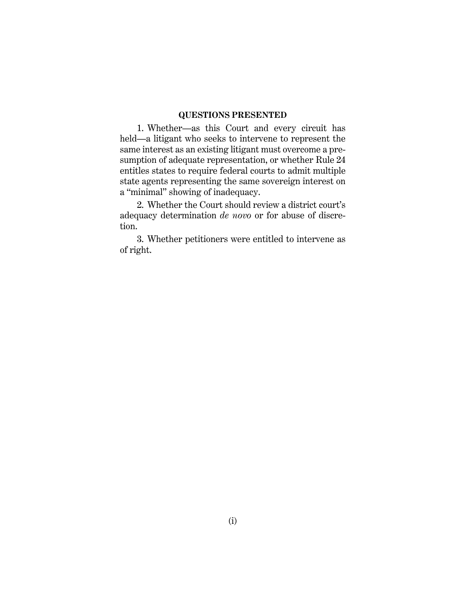#### **QUESTIONS PRESENTED**

1. Whether—as this Court and every circuit has held—a litigant who seeks to intervene to represent the same interest as an existing litigant must overcome a presumption of adequate representation, or whether Rule 24 entitles states to require federal courts to admit multiple state agents representing the same sovereign interest on a "minimal" showing of inadequacy.

2. Whether the Court should review a district court's adequacy determination *de novo* or for abuse of discretion.

3. Whether petitioners were entitled to intervene as of right.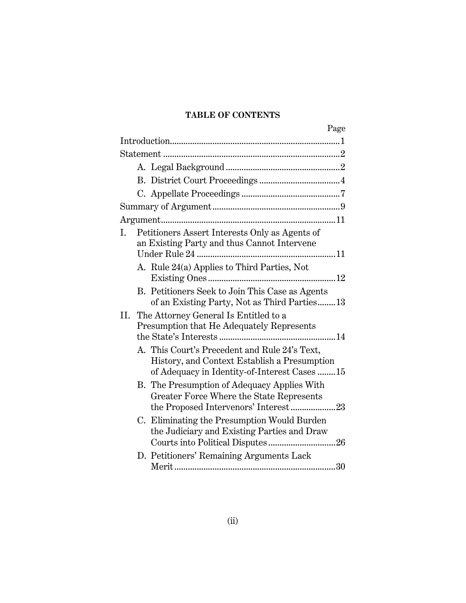# **TABLE OF CONTENTS**

| Page                                                                                                                                          |
|-----------------------------------------------------------------------------------------------------------------------------------------------|
|                                                                                                                                               |
|                                                                                                                                               |
|                                                                                                                                               |
|                                                                                                                                               |
|                                                                                                                                               |
|                                                                                                                                               |
|                                                                                                                                               |
| Petitioners Assert Interests Only as Agents of<br>Ι.<br>an Existing Party and thus Cannot Intervene                                           |
| A. Rule 24(a) Applies to Third Parties, Not                                                                                                   |
| B. Petitioners Seek to Join This Case as Agents<br>of an Existing Party, Not as Third Parties 13                                              |
| The Attorney General Is Entitled to a<br>П.<br>Presumption that He Adequately Represents                                                      |
| A. This Court's Precedent and Rule 24's Text,<br>History, and Context Establish a Presumption<br>of Adequacy in Identity-of-Interest Cases 15 |
| B. The Presumption of Adequacy Applies With<br>Greater Force Where the State Represents<br>the Proposed Intervenors' Interest23               |
| C. Eliminating the Presumption Would Burden<br>the Judiciary and Existing Parties and Draw                                                    |
| D. Petitioners' Remaining Arguments Lack                                                                                                      |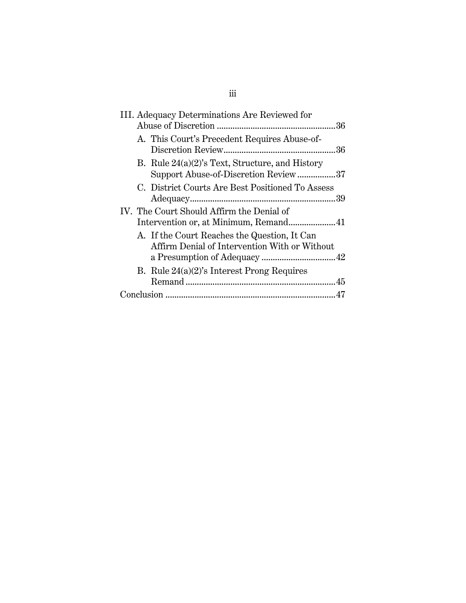| III. Adequacy Determinations Are Reviewed for                                                 |
|-----------------------------------------------------------------------------------------------|
| A. This Court's Precedent Requires Abuse-of-                                                  |
| B. Rule $24(a)(2)$ 's Text, Structure, and History<br>Support Abuse-of-Discretion Review37    |
| C. District Courts Are Best Positioned To Assess                                              |
| IV. The Court Should Affirm the Denial of<br>Intervention or, at Minimum, Remand41            |
| A. If the Court Reaches the Question, It Can<br>Affirm Denial of Intervention With or Without |
| B. Rule $24(a)(2)$ 's Interest Prong Requires                                                 |
|                                                                                               |

# iii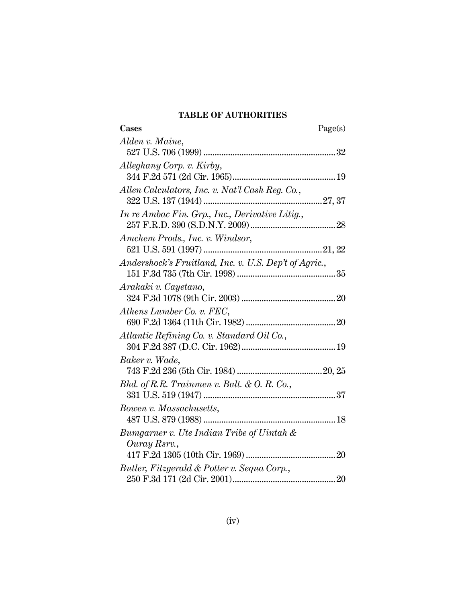# **TABLE OF AUTHORITIES**

| <b>Cases</b>                                              | Page(s) |
|-----------------------------------------------------------|---------|
| Alden v. Maine,                                           |         |
| Alleghany Corp. v. Kirby,                                 |         |
| Allen Calculators, Inc. v. Nat'l Cash Reg. Co.,           |         |
| In re Ambac Fin. Grp., Inc., Derivative Litig.,           |         |
| Amchem Prods., Inc. v. Windsor,                           |         |
| Andershock's Fruitland, Inc. v. U.S. Dep't of Agric.,     |         |
| Arakaki v. Cayetano,                                      |         |
| Athens Lumber Co. v. FEC,                                 |         |
| Atlantic Refining Co. v. Standard Oil Co.,                |         |
| Baker v. Wade,                                            |         |
| Bhd. of R.R. Trainmen v. Balt. & O. R. Co.,               |         |
| Bowen v. Massachusetts,                                   |         |
| Bumgarner v. Ute Indian Tribe of Uintah &<br>Ouray Rsrv., |         |
|                                                           |         |
| Butler, Fitzgerald & Potter v. Sequa Corp.,               |         |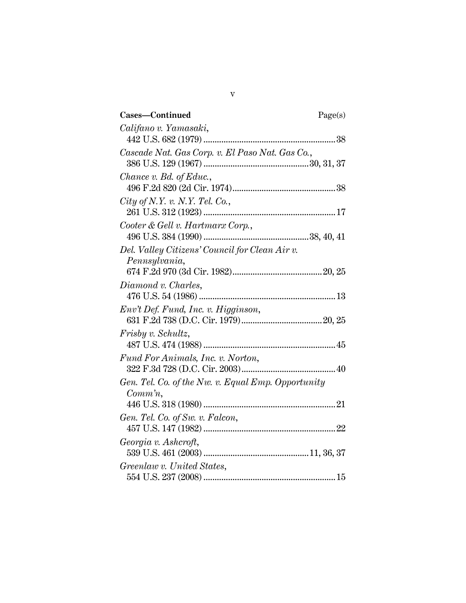| Cases-Continued                                    | Page(s) |
|----------------------------------------------------|---------|
| Califano v. Yamasaki,                              |         |
|                                                    |         |
| Cascade Nat. Gas Corp. v. El Paso Nat. Gas Co.,    |         |
|                                                    |         |
| <i>Chance v. Bd. of Educ.,</i>                     |         |
| City of N.Y. v. N.Y. Tel. Co.,                     |         |
|                                                    |         |
| Cooter & Gell v. Hartmarx Corp.,                   |         |
|                                                    |         |
| Del. Valley Citizens' Council for Clean Air v.     |         |
| Pennsylvania,                                      |         |
|                                                    |         |
| Diamond v. Charles,                                |         |
|                                                    |         |
| Env't Def. Fund, Inc. v. Higginson,                |         |
|                                                    |         |
| Frisby v. Schultz,                                 |         |
|                                                    |         |
| Fund For Animals, Inc. v. Norton,                  |         |
| Gen. Tel. Co. of the Nw. v. Equal Emp. Opportunity |         |
| $Comm\,n,$                                         |         |
|                                                    |         |
| Gen. Tel. Co. of Sw. v. Falcon,                    |         |
|                                                    |         |
| Georgia v. Ashcroft,                               |         |
|                                                    |         |
| Greenlaw v. United States,                         |         |
|                                                    |         |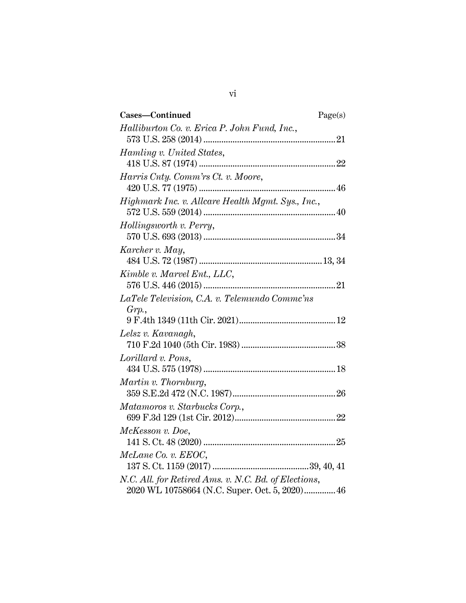| Cases-Continued                                      | Page(s) |
|------------------------------------------------------|---------|
| Halliburton Co. v. Erica P. John Fund, Inc.,         |         |
|                                                      |         |
| Hamling v. United States,                            |         |
|                                                      |         |
| Harris Cnty. Comm'rs Ct. v. Moore,                   |         |
|                                                      |         |
| Highmark Inc. v. Allcare Health Mgmt. Sys., Inc.,    |         |
|                                                      |         |
| Hollingsworth v. Perry,                              |         |
|                                                      |         |
| Karcher v. May,                                      |         |
|                                                      |         |
| Kimble v. Marvel Ent., LLC,                          |         |
|                                                      |         |
| LaTele Television, C.A. v. Telemundo Commc'ns        |         |
| Grp.                                                 |         |
|                                                      |         |
| Lelsz v. Kavanagh,                                   |         |
|                                                      |         |
| Lorillard v. Pons,                                   |         |
|                                                      |         |
| Martin v. Thornburg,                                 |         |
|                                                      |         |
| Matamoros v. Starbucks Corp.,                        |         |
|                                                      |         |
| McKesson v. Doe,                                     |         |
|                                                      |         |
| McLane Co. v. EEOC,                                  |         |
|                                                      |         |
| N.C. All. for Retired Ams. v. N.C. Bd. of Elections, |         |
| 2020 WL 10758664 (N.C. Super. Oct. 5, 2020) 46       |         |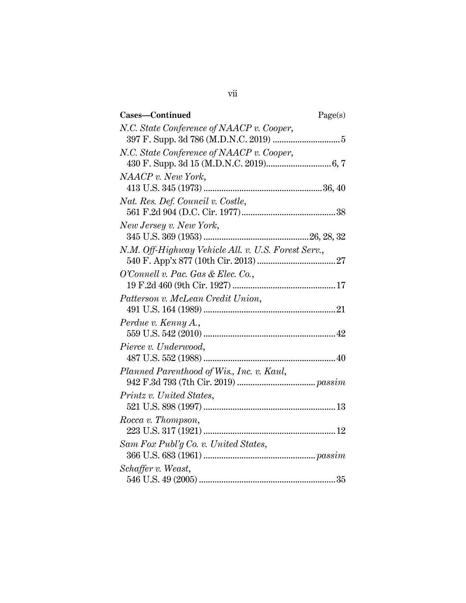| Cases-Continued                                     | Page(s) |
|-----------------------------------------------------|---------|
| N.C. State Conference of NAACP v. Cooper,           |         |
|                                                     |         |
| N.C. State Conference of NAACP v. Cooper,           |         |
|                                                     |         |
| NAACP v. New York,                                  |         |
|                                                     |         |
| Nat. Res. Def. Council v. Costle,                   |         |
|                                                     |         |
| New Jersey v. New York,                             |         |
|                                                     |         |
| N.M. Off-Highway Vehicle All. v. U.S. Forest Serv., |         |
|                                                     |         |
| O'Connell v. Pac. Gas & Elec. Co.,                  |         |
|                                                     |         |
| Patterson v. McLean Credit Union,                   |         |
|                                                     |         |
| Perdue v. Kenny A.,                                 |         |
|                                                     |         |
|                                                     |         |
| Pierce v. Underwood,                                |         |
|                                                     |         |
| Planned Parenthood of Wis., Inc. v. Kaul,           |         |
|                                                     |         |
| Printz v. United States,                            |         |
|                                                     |         |
| Rocca v. Thompson,                                  |         |
|                                                     |         |
| Sam Fox Publ'g Co. v. United States,                |         |
|                                                     |         |
| Schaffer v. Weast,                                  |         |
|                                                     |         |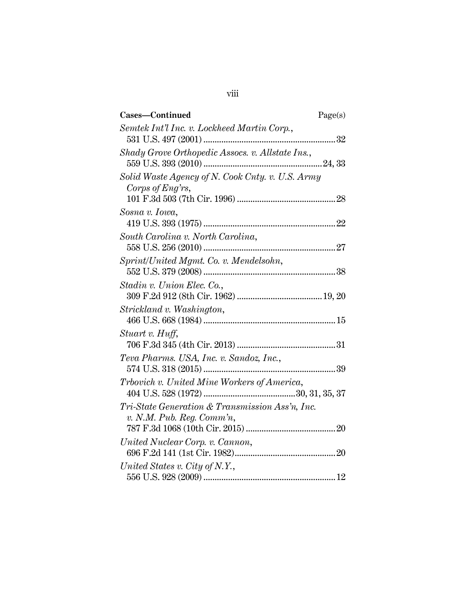| Cases-Continued                                                              | Page(s) |
|------------------------------------------------------------------------------|---------|
| Semtek Int'l Inc. v. Lockheed Martin Corp.,                                  |         |
| Shady Grove Orthopedic Assocs. v. Allstate Ins.,                             |         |
| Solid Waste Agency of N. Cook Cnty. v. U.S. Army<br>Corps of Eng'rs,         |         |
| Sosna v. Iowa,                                                               |         |
| South Carolina v. North Carolina,                                            |         |
| Sprint/United Mgmt. Co. v. Mendelsohn,                                       |         |
| Stadin v. Union Elec. Co.,                                                   |         |
| Strickland v. Washington,                                                    |         |
| Stuart v. Huff,                                                              |         |
| Teva Pharms. USA, Inc. v. Sandoz, Inc.,                                      |         |
| Trbovich v. United Mine Workers of America,                                  |         |
| Tri-State Generation & Transmission Ass'n, Inc.<br>v. N.M. Pub. Reg. Comm'n, |         |
| United Nuclear Corp. v. Cannon,                                              |         |
| United States v. City of N.Y.,                                               |         |

viii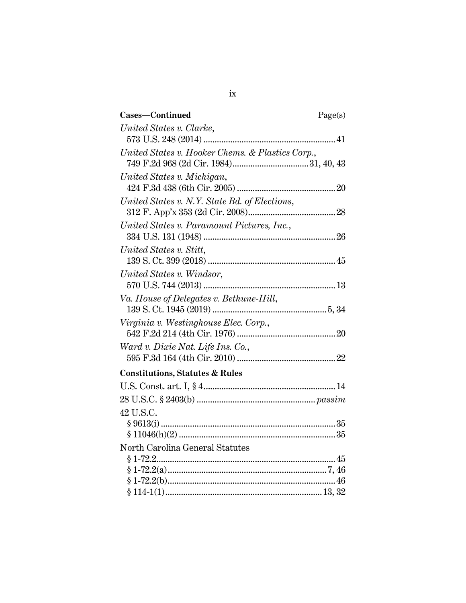| Cases-Continued                                  | Page(s) |
|--------------------------------------------------|---------|
| United States v. Clarke,                         |         |
|                                                  |         |
| United States v. Hooker Chems. & Plastics Corp., |         |
|                                                  |         |
| United States v. Michigan,                       |         |
|                                                  |         |
| United States v. N.Y. State Bd. of Elections,    |         |
|                                                  |         |
| United States v. Paramount Pictures, Inc.,       |         |
|                                                  |         |
| United States v. Stitt,                          |         |
|                                                  |         |
| United States v. Windsor,                        |         |
|                                                  |         |
| Va. House of Delegates v. Bethune-Hill,          |         |
|                                                  |         |
| Virginia v. Westinghouse Elec. Corp.,            |         |
|                                                  |         |
| Ward v. Dixie Nat. Life Ins. Co.,                |         |
|                                                  |         |
| <b>Constitutions, Statutes &amp; Rules</b>       |         |
|                                                  |         |
|                                                  |         |
| 42 U.S.C.                                        |         |
|                                                  |         |
|                                                  |         |
| North Carolina General Statutes                  |         |
|                                                  |         |
|                                                  |         |
|                                                  |         |
|                                                  |         |

ix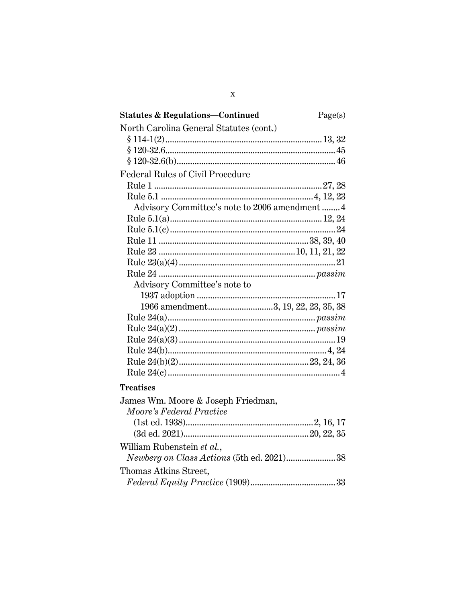| Statutes & Regulations—Continued               | Page(s) |
|------------------------------------------------|---------|
| North Carolina General Statutes (cont.)        |         |
|                                                |         |
|                                                |         |
|                                                |         |
| Federal Rules of Civil Procedure               |         |
|                                                |         |
|                                                |         |
| Advisory Committee's note to 2006 amendment  4 |         |
|                                                |         |
|                                                |         |
|                                                |         |
|                                                |         |
|                                                |         |
|                                                |         |
| Advisory Committee's note to                   |         |
|                                                |         |
| 1966 amendment3, 19, 22, 23, 35, 38            |         |
|                                                |         |
|                                                |         |
|                                                |         |
|                                                |         |
|                                                |         |
|                                                |         |
| <b>Treatises</b>                               |         |
| James Wm. Moore & Joseph Friedman,             |         |
| Moore's Federal Practice                       |         |
|                                                |         |
|                                                |         |
| William Rubenstein et al.,                     |         |
| Newberg on Class Actions (5th ed. 2021)38      |         |
| Thomas Atkins Street,                          |         |
|                                                |         |
|                                                |         |

| ٧ |  |
|---|--|
|   |  |
|   |  |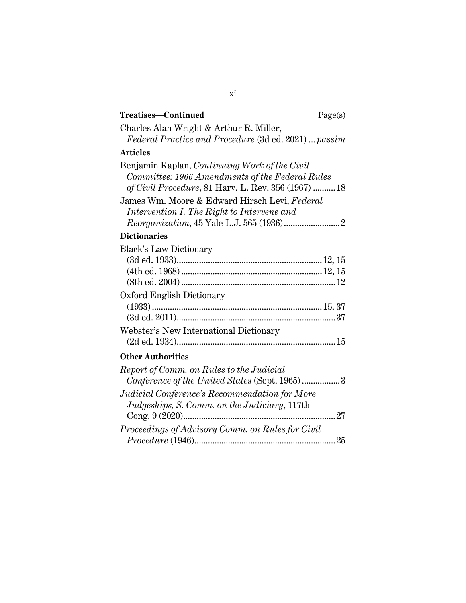| Treatises—Continued                                                                                                                                     | Page(s) |
|---------------------------------------------------------------------------------------------------------------------------------------------------------|---------|
| Charles Alan Wright & Arthur R. Miller,<br>Federal Practice and Procedure (3d ed. 2021)  passim                                                         |         |
| <b>Articles</b>                                                                                                                                         |         |
| Benjamin Kaplan, Continuing Work of the Civil<br>Committee: 1966 Amendments of the Federal Rules<br>of Civil Procedure, 81 Harv. L. Rev. 356 (1967)  18 |         |
| James Wm. Moore & Edward Hirsch Levi, Federal<br>Intervention I. The Right to Intervene and                                                             |         |
| <b>Dictionaries</b>                                                                                                                                     |         |
| <b>Black's Law Dictionary</b>                                                                                                                           |         |
| Oxford English Dictionary                                                                                                                               |         |
| Webster's New International Dictionary                                                                                                                  |         |
| <b>Other Authorities</b>                                                                                                                                |         |
| Report of Comm. on Rules to the Judicial<br>Conference of the United States (Sept. 1965)3                                                               |         |
| Judicial Conference's Recommendation for More<br>Judgeships, S. Comm. on the Judiciary, 117th                                                           |         |
| Proceedings of Advisory Comm. on Rules for Civil                                                                                                        |         |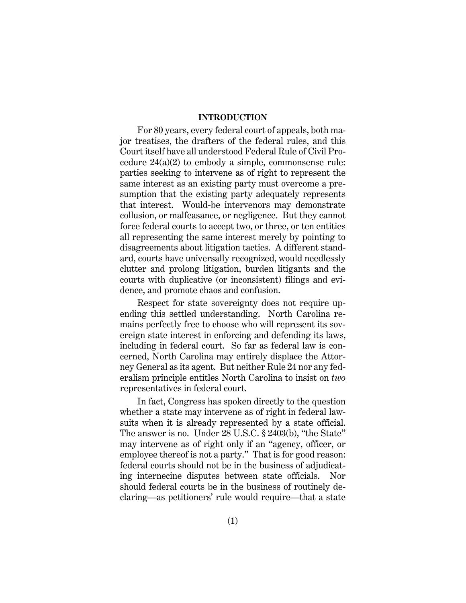#### **INTRODUCTION**

For 80 years, every federal court of appeals, both major treatises, the drafters of the federal rules, and this Court itself have all understood Federal Rule of Civil Procedure 24(a)(2) to embody a simple, commonsense rule: parties seeking to intervene as of right to represent the same interest as an existing party must overcome a presumption that the existing party adequately represents that interest. Would-be intervenors may demonstrate collusion, or malfeasance, or negligence. But they cannot force federal courts to accept two, or three, or ten entities all representing the same interest merely by pointing to disagreements about litigation tactics. A different standard, courts have universally recognized, would needlessly clutter and prolong litigation, burden litigants and the courts with duplicative (or inconsistent) filings and evidence, and promote chaos and confusion.

Respect for state sovereignty does not require upending this settled understanding. North Carolina remains perfectly free to choose who will represent its sovereign state interest in enforcing and defending its laws, including in federal court. So far as federal law is concerned, North Carolina may entirely displace the Attorney General as its agent. But neither Rule 24 nor any federalism principle entitles North Carolina to insist on *two*  representatives in federal court.

In fact, Congress has spoken directly to the question whether a state may intervene as of right in federal lawsuits when it is already represented by a state official. The answer is no. Under 28 U.S.C. § 2403(b), "the State" may intervene as of right only if an "agency, officer, or employee thereof is not a party." That is for good reason: federal courts should not be in the business of adjudicating internecine disputes between state officials. Nor should federal courts be in the business of routinely declaring—as petitioners' rule would require—that a state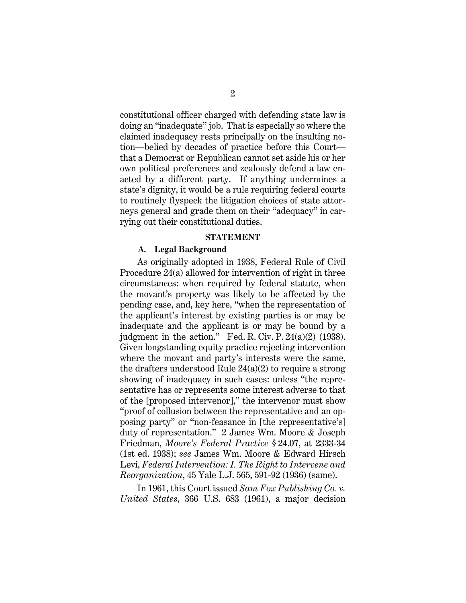constitutional officer charged with defending state law is doing an "inadequate" job. That is especially so where the claimed inadequacy rests principally on the insulting notion—belied by decades of practice before this Court that a Democrat or Republican cannot set aside his or her own political preferences and zealously defend a law enacted by a different party. If anything undermines a state's dignity, it would be a rule requiring federal courts to routinely flyspeck the litigation choices of state attorneys general and grade them on their "adequacy" in carrying out their constitutional duties.

#### **STATEMENT**

#### **A. Legal Background**

As originally adopted in 1938, Federal Rule of Civil Procedure 24(a) allowed for intervention of right in three circumstances: when required by federal statute, when the movant's property was likely to be affected by the pending case, and, key here, "when the representation of the applicant's interest by existing parties is or may be inadequate and the applicant is or may be bound by a judgment in the action." Fed. R. Civ. P.  $24(a)(2)$  (1938). Given longstanding equity practice rejecting intervention where the movant and party's interests were the same, the drafters understood Rule  $24(a)(2)$  to require a strong showing of inadequacy in such cases: unless "the representative has or represents some interest adverse to that of the [proposed intervenor]," the intervenor must show "proof of collusion between the representative and an opposing party" or "non-feasance in [the representative's] duty of representation." 2 James Wm. Moore & Joseph Friedman, *Moore's Federal Practice* § 24.07, at 2333-34 (1st ed. 1938); *see* James Wm. Moore & Edward Hirsch Levi, *Federal Intervention: I. The Right to Intervene and Reorganization*, 45 Yale L.J. 565, 591-92 (1936) (same).

In 1961, this Court issued *Sam Fox Publishing Co. v. United States*, 366 U.S. 683 (1961), a major decision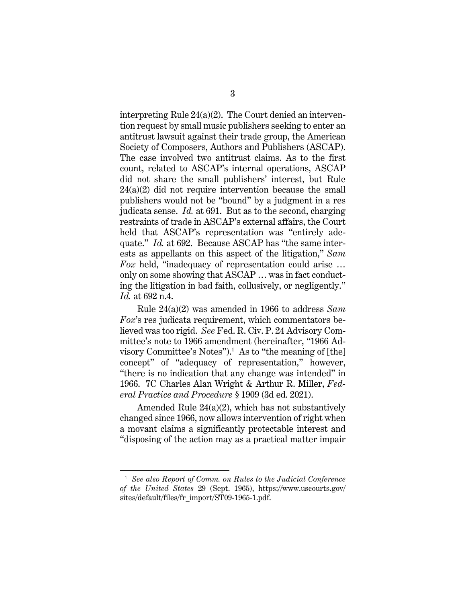interpreting Rule 24(a)(2). The Court denied an intervention request by small music publishers seeking to enter an antitrust lawsuit against their trade group, the American Society of Composers, Authors and Publishers (ASCAP). The case involved two antitrust claims. As to the first count, related to ASCAP's internal operations, ASCAP did not share the small publishers' interest, but Rule  $24(a)(2)$  did not require intervention because the small publishers would not be "bound" by a judgment in a res judicata sense. *Id.* at 691. But as to the second, charging restraints of trade in ASCAP's external affairs, the Court held that ASCAP's representation was "entirely adequate." *Id.* at 692. Because ASCAP has "the same interests as appellants on this aspect of the litigation," *Sam Fox* held, "inadequacy of representation could arise … only on some showing that ASCAP … was in fact conducting the litigation in bad faith, collusively, or negligently." *Id.* at 692 n.4.

Rule 24(a)(2) was amended in 1966 to address *Sam Fox*'s res judicata requirement, which commentators believed was too rigid. *See* Fed. R. Civ. P. 24 Advisory Committee's note to 1966 amendment (hereinafter, "1966 Advisory Committee's Notes").<sup>1</sup> As to "the meaning of [the] concept" of "adequacy of representation," however, "there is no indication that any change was intended" in 1966. 7C Charles Alan Wright & Arthur R. Miller, *Federal Practice and Procedure* § 1909 (3d ed. 2021).

Amended Rule 24(a)(2), which has not substantively changed since 1966, now allows intervention of right when a movant claims a significantly protectable interest and "disposing of the action may as a practical matter impair

<sup>1</sup> *See also Report of Comm. on Rules to the Judicial Conference of the United States* 29 (Sept. 1965), https://www.uscourts.gov/ sites/default/files/fr\_import/ST09-1965-1.pdf.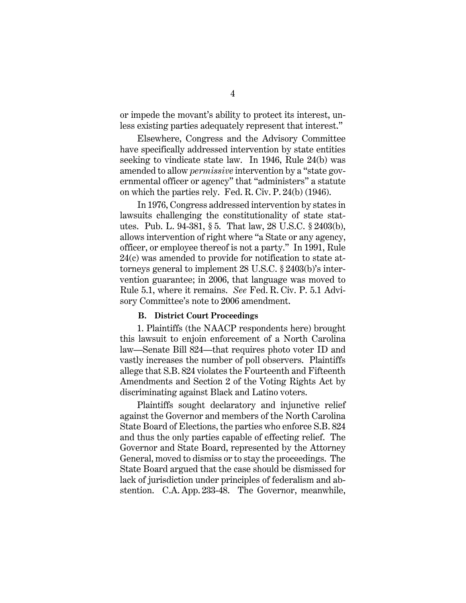or impede the movant's ability to protect its interest, unless existing parties adequately represent that interest."

Elsewhere, Congress and the Advisory Committee have specifically addressed intervention by state entities seeking to vindicate state law. In 1946, Rule 24(b) was amended to allow *permissive* intervention by a "state governmental officer or agency" that "administers" a statute on which the parties rely. Fed. R. Civ. P. 24(b) (1946).

In 1976, Congress addressed intervention by states in lawsuits challenging the constitutionality of state statutes. Pub. L. 94-381, § 5. That law, 28 U.S.C. § 2403(b), allows intervention of right where "a State or any agency, officer, or employee thereof is not a party." In 1991, Rule 24(c) was amended to provide for notification to state attorneys general to implement 28 U.S.C. § 2403(b)'s intervention guarantee; in 2006, that language was moved to Rule 5.1, where it remains. *See* Fed. R. Civ. P. 5.1 Advisory Committee's note to 2006 amendment.

#### **B. District Court Proceedings**

1. Plaintiffs (the NAACP respondents here) brought this lawsuit to enjoin enforcement of a North Carolina law—Senate Bill 824—that requires photo voter ID and vastly increases the number of poll observers. Plaintiffs allege that S.B. 824 violates the Fourteenth and Fifteenth Amendments and Section 2 of the Voting Rights Act by discriminating against Black and Latino voters.

Plaintiffs sought declaratory and injunctive relief against the Governor and members of the North Carolina State Board of Elections, the parties who enforce S.B. 824 and thus the only parties capable of effecting relief. The Governor and State Board, represented by the Attorney General, moved to dismiss or to stay the proceedings. The State Board argued that the case should be dismissed for lack of jurisdiction under principles of federalism and abstention. C.A. App. 233-48. The Governor, meanwhile,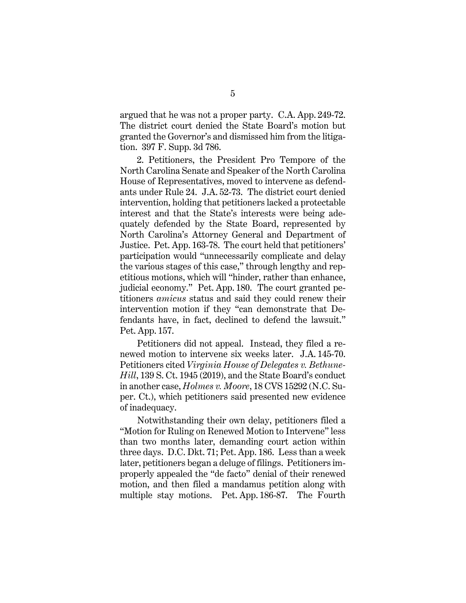argued that he was not a proper party. C.A. App. 249-72. The district court denied the State Board's motion but granted the Governor's and dismissed him from the litigation. 397 F. Supp. 3d 786.

2. Petitioners, the President Pro Tempore of the North Carolina Senate and Speaker of the North Carolina House of Representatives, moved to intervene as defendants under Rule 24. J.A. 52-73. The district court denied intervention, holding that petitioners lacked a protectable interest and that the State's interests were being adequately defended by the State Board, represented by North Carolina's Attorney General and Department of Justice. Pet. App. 163-78. The court held that petitioners' participation would "unnecessarily complicate and delay the various stages of this case," through lengthy and repetitious motions, which will "hinder, rather than enhance, judicial economy." Pet. App. 180. The court granted petitioners *amicus* status and said they could renew their intervention motion if they "can demonstrate that Defendants have, in fact, declined to defend the lawsuit." Pet. App. 157.

Petitioners did not appeal. Instead, they filed a renewed motion to intervene six weeks later. J.A. 145-70. Petitioners cited *Virginia House of Delegates v. Bethune-Hill*, 139 S. Ct. 1945 (2019), and the State Board's conduct in another case, *Holmes v. Moore*, 18 CVS 15292 (N.C. Super. Ct.), which petitioners said presented new evidence of inadequacy.

Notwithstanding their own delay, petitioners filed a "Motion for Ruling on Renewed Motion to Intervene" less than two months later, demanding court action within three days. D.C. Dkt. 71; Pet. App. 186. Less than a week later, petitioners began a deluge of filings. Petitioners improperly appealed the "de facto" denial of their renewed motion, and then filed a mandamus petition along with multiple stay motions. Pet. App. 186-87. The Fourth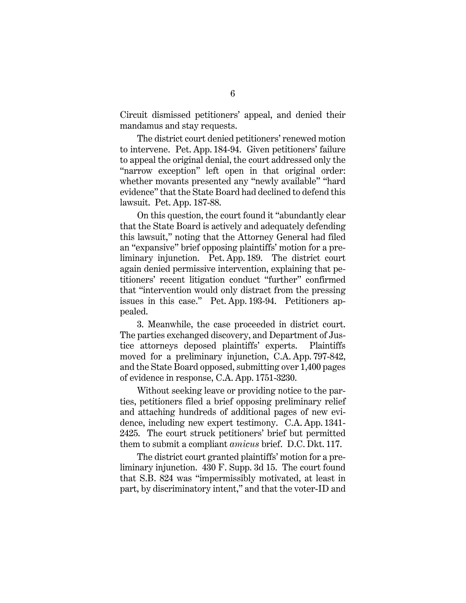Circuit dismissed petitioners' appeal, and denied their mandamus and stay requests.

The district court denied petitioners' renewed motion to intervene. Pet. App. 184-94. Given petitioners' failure to appeal the original denial, the court addressed only the "narrow exception" left open in that original order: whether movants presented any "newly available" "hard evidence" that the State Board had declined to defend this lawsuit. Pet. App. 187-88.

On this question, the court found it "abundantly clear that the State Board is actively and adequately defending this lawsuit," noting that the Attorney General had filed an "expansive" brief opposing plaintiffs' motion for a preliminary injunction. Pet. App. 189. The district court again denied permissive intervention, explaining that petitioners' recent litigation conduct "further" confirmed that "intervention would only distract from the pressing issues in this case." Pet. App. 193-94. Petitioners appealed.

3. Meanwhile, the case proceeded in district court. The parties exchanged discovery, and Department of Justice attorneys deposed plaintiffs' experts. Plaintiffs moved for a preliminary injunction, C.A. App. 797-842, and the State Board opposed, submitting over 1,400 pages of evidence in response, C.A. App. 1751-3230.

Without seeking leave or providing notice to the parties, petitioners filed a brief opposing preliminary relief and attaching hundreds of additional pages of new evidence, including new expert testimony. C.A. App. 1341- 2425. The court struck petitioners' brief but permitted them to submit a compliant *amicus* brief. D.C. Dkt. 117.

The district court granted plaintiffs' motion for a preliminary injunction. 430 F. Supp. 3d 15. The court found that S.B. 824 was "impermissibly motivated, at least in part, by discriminatory intent," and that the voter-ID and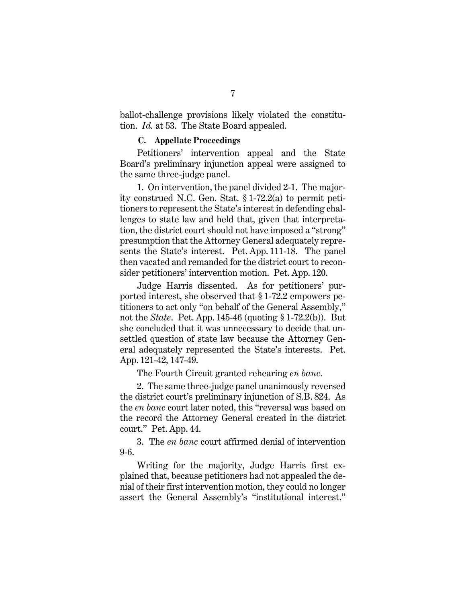ballot-challenge provisions likely violated the constitution. *Id.* at 53. The State Board appealed.

#### **C. Appellate Proceedings**

Petitioners' intervention appeal and the State Board's preliminary injunction appeal were assigned to the same three-judge panel.

1. On intervention, the panel divided 2-1. The majority construed N.C. Gen. Stat. § 1-72.2(a) to permit petitioners to represent the State's interest in defending challenges to state law and held that, given that interpretation, the district court should not have imposed a "strong" presumption that the Attorney General adequately represents the State's interest. Pet. App. 111-18. The panel then vacated and remanded for the district court to reconsider petitioners' intervention motion. Pet. App. 120.

Judge Harris dissented. As for petitioners' purported interest, she observed that § 1-72.2 empowers petitioners to act only "on behalf of the General Assembly," not the *State*. Pet. App. 145-46 (quoting § 1-72.2(b)). But she concluded that it was unnecessary to decide that unsettled question of state law because the Attorney General adequately represented the State's interests. Pet. App. 121-42, 147-49.

The Fourth Circuit granted rehearing *en banc*.

2. The same three-judge panel unanimously reversed the district court's preliminary injunction of S.B. 824. As the *en banc* court later noted, this "reversal was based on the record the Attorney General created in the district court." Pet. App. 44.

3. The *en banc* court affirmed denial of intervention 9-6.

Writing for the majority, Judge Harris first explained that, because petitioners had not appealed the denial of their first intervention motion, they could no longer assert the General Assembly's "institutional interest."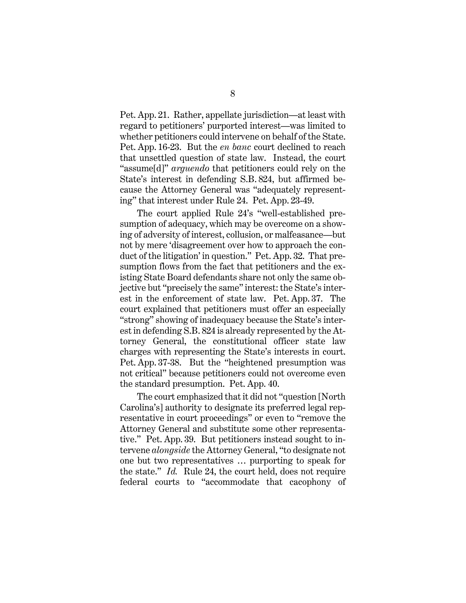Pet. App. 21. Rather, appellate jurisdiction—at least with regard to petitioners' purported interest—was limited to whether petitioners could intervene on behalf of the State. Pet. App. 16-23. But the *en banc* court declined to reach that unsettled question of state law. Instead, the court "assume[d]" *arguendo* that petitioners could rely on the State's interest in defending S.B. 824, but affirmed because the Attorney General was "adequately representing" that interest under Rule 24. Pet. App. 23-49.

The court applied Rule 24's "well-established presumption of adequacy, which may be overcome on a showing of adversity of interest, collusion, or malfeasance—but not by mere 'disagreement over how to approach the conduct of the litigation' in question." Pet. App. 32. That presumption flows from the fact that petitioners and the existing State Board defendants share not only the same objective but "precisely the same" interest: the State's interest in the enforcement of state law. Pet. App. 37. The court explained that petitioners must offer an especially "strong" showing of inadequacy because the State's interest in defending S.B. 824 is already represented by the Attorney General, the constitutional officer state law charges with representing the State's interests in court. Pet. App. 37-38. But the "heightened presumption was not critical" because petitioners could not overcome even the standard presumption. Pet. App. 40.

The court emphasized that it did not "question [North Carolina's] authority to designate its preferred legal representative in court proceedings" or even to "remove the Attorney General and substitute some other representative." Pet. App. 39. But petitioners instead sought to intervene *alongside* the Attorney General, "to designate not one but two representatives … purporting to speak for the state." *Id.* Rule 24, the court held, does not require federal courts to "accommodate that cacophony of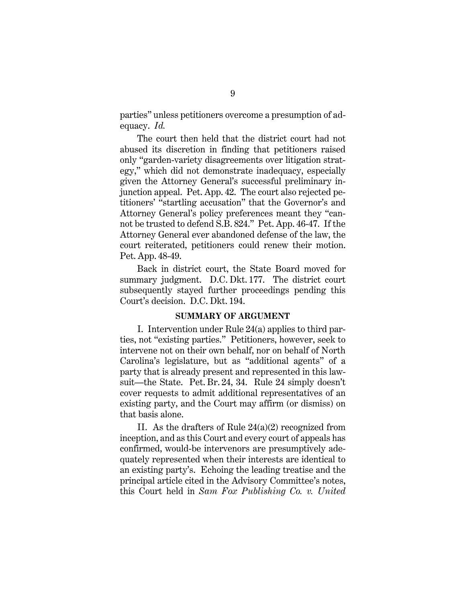parties" unless petitioners overcome a presumption of adequacy. *Id.*

The court then held that the district court had not abused its discretion in finding that petitioners raised only "garden-variety disagreements over litigation strategy," which did not demonstrate inadequacy, especially given the Attorney General's successful preliminary injunction appeal. Pet. App. 42. The court also rejected petitioners' "startling accusation" that the Governor's and Attorney General's policy preferences meant they "cannot be trusted to defend S.B. 824." Pet. App. 46-47. If the Attorney General ever abandoned defense of the law, the court reiterated, petitioners could renew their motion. Pet. App. 48-49.

Back in district court, the State Board moved for summary judgment. D.C. Dkt. 177. The district court subsequently stayed further proceedings pending this Court's decision. D.C. Dkt. 194.

#### **SUMMARY OF ARGUMENT**

I. Intervention under Rule 24(a) applies to third parties, not "existing parties." Petitioners, however, seek to intervene not on their own behalf, nor on behalf of North Carolina's legislature, but as "additional agents" of a party that is already present and represented in this lawsuit—the State. Pet. Br. 24, 34. Rule 24 simply doesn't cover requests to admit additional representatives of an existing party, and the Court may affirm (or dismiss) on that basis alone.

II. As the drafters of Rule 24(a)(2) recognized from inception, and as this Court and every court of appeals has confirmed, would-be intervenors are presumptively adequately represented when their interests are identical to an existing party's. Echoing the leading treatise and the principal article cited in the Advisory Committee's notes, this Court held in *Sam Fox Publishing Co. v. United*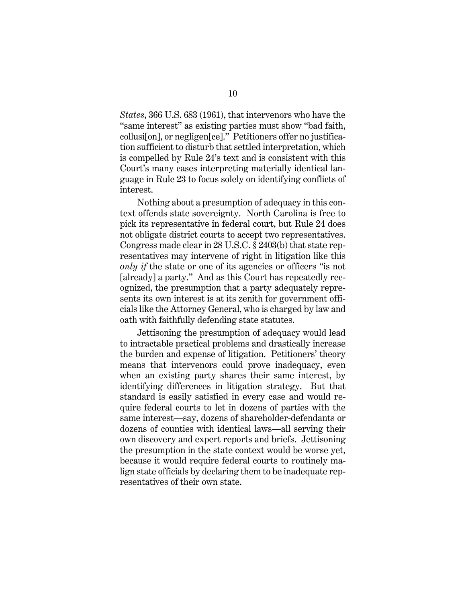*States*, 366 U.S. 683 (1961), that intervenors who have the "same interest" as existing parties must show "bad faith, collusi[on], or negligen[ce]." Petitioners offer no justification sufficient to disturb that settled interpretation, which is compelled by Rule 24's text and is consistent with this Court's many cases interpreting materially identical language in Rule 23 to focus solely on identifying conflicts of interest.

Nothing about a presumption of adequacy in this context offends state sovereignty. North Carolina is free to pick its representative in federal court, but Rule 24 does not obligate district courts to accept two representatives. Congress made clear in 28 U.S.C. § 2403(b) that state representatives may intervene of right in litigation like this *only if* the state or one of its agencies or officers "is not [already] a party." And as this Court has repeatedly recognized, the presumption that a party adequately represents its own interest is at its zenith for government officials like the Attorney General, who is charged by law and oath with faithfully defending state statutes.

Jettisoning the presumption of adequacy would lead to intractable practical problems and drastically increase the burden and expense of litigation. Petitioners' theory means that intervenors could prove inadequacy, even when an existing party shares their same interest, by identifying differences in litigation strategy. But that standard is easily satisfied in every case and would require federal courts to let in dozens of parties with the same interest—say, dozens of shareholder-defendants or dozens of counties with identical laws—all serving their own discovery and expert reports and briefs. Jettisoning the presumption in the state context would be worse yet, because it would require federal courts to routinely malign state officials by declaring them to be inadequate representatives of their own state.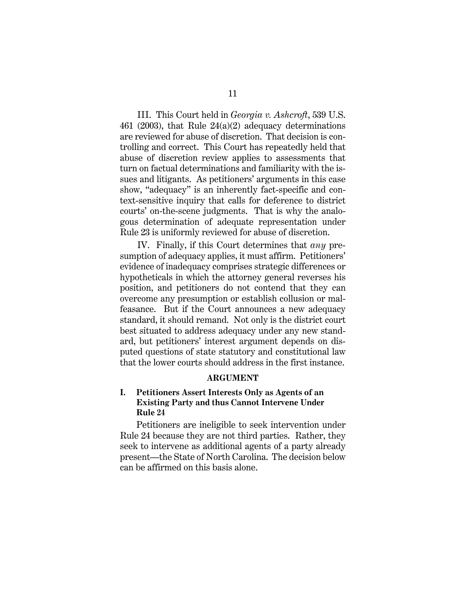III. This Court held in *Georgia v. Ashcroft*, 539 U.S. 461 (2003), that Rule 24(a)(2) adequacy determinations are reviewed for abuse of discretion. That decision is controlling and correct. This Court has repeatedly held that abuse of discretion review applies to assessments that turn on factual determinations and familiarity with the issues and litigants. As petitioners' arguments in this case show, "adequacy" is an inherently fact-specific and context-sensitive inquiry that calls for deference to district courts' on-the-scene judgments. That is why the analogous determination of adequate representation under Rule 23 is uniformly reviewed for abuse of discretion.

IV. Finally, if this Court determines that *any* presumption of adequacy applies, it must affirm. Petitioners' evidence of inadequacy comprises strategic differences or hypotheticals in which the attorney general reverses his position, and petitioners do not contend that they can overcome any presumption or establish collusion or malfeasance. But if the Court announces a new adequacy standard, it should remand. Not only is the district court best situated to address adequacy under any new standard, but petitioners' interest argument depends on disputed questions of state statutory and constitutional law that the lower courts should address in the first instance.

#### **ARGUMENT**

## **I. Petitioners Assert Interests Only as Agents of an Existing Party and thus Cannot Intervene Under Rule 24**

Petitioners are ineligible to seek intervention under Rule 24 because they are not third parties. Rather, they seek to intervene as additional agents of a party already present—the State of North Carolina. The decision below can be affirmed on this basis alone.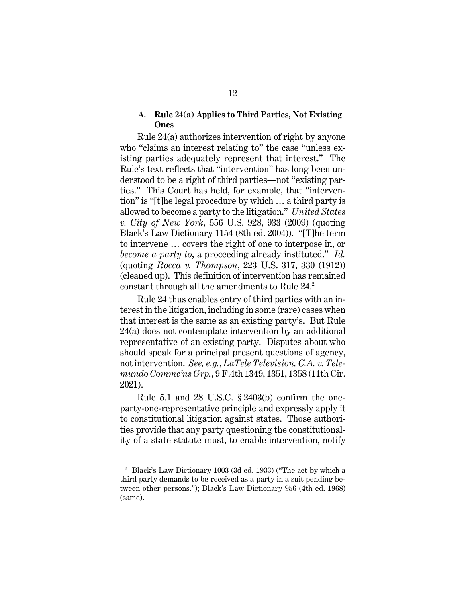#### **A. Rule 24(a) Applies to Third Parties, Not Existing Ones**

Rule 24(a) authorizes intervention of right by anyone who "claims an interest relating to" the case "unless existing parties adequately represent that interest." The Rule's text reflects that "intervention" has long been understood to be a right of third parties—not "existing parties." This Court has held, for example, that "intervention" is "[t]he legal procedure by which … a third party is allowed to become a party to the litigation." *United States v. City of New York*, 556 U.S. 928, 933 (2009) (quoting Black's Law Dictionary 1154 (8th ed. 2004)). "[T]he term to intervene … covers the right of one to interpose in, or *become a party to*, a proceeding already instituted." *Id.* (quoting *Rocca v. Thompson*, 223 U.S. 317, 330 (1912)) (cleaned up). This definition of intervention has remained constant through all the amendments to Rule  $24.^2$ 

Rule 24 thus enables entry of third parties with an interest in the litigation, including in some (rare) cases when that interest is the same as an existing party's. But Rule 24(a) does not contemplate intervention by an additional representative of an existing party. Disputes about who should speak for a principal present questions of agency, not intervention. *See, e.g.*, *LaTele Television, C.A. v. Telemundo Commc'ns Grp.*, 9 F.4th 1349, 1351, 1358 (11th Cir. 2021).

Rule 5.1 and 28 U.S.C. § 2403(b) confirm the oneparty-one-representative principle and expressly apply it to constitutional litigation against states. Those authorities provide that any party questioning the constitutionality of a state statute must, to enable intervention, notify

<sup>2</sup> Black's Law Dictionary 1003 (3d ed. 1933) ("The act by which a third party demands to be received as a party in a suit pending between other persons."); Black's Law Dictionary 956 (4th ed. 1968) (same).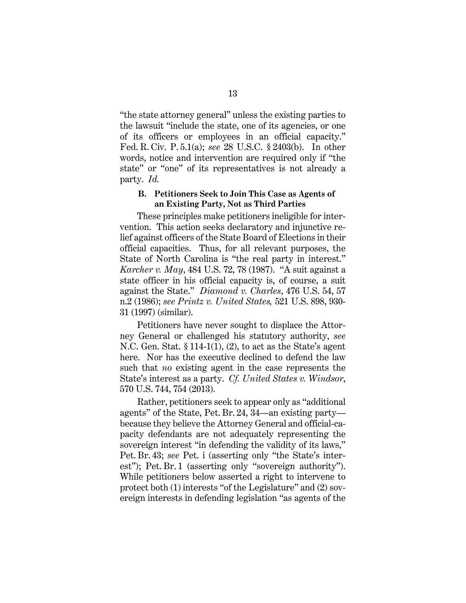"the state attorney general" unless the existing parties to the lawsuit "include the state, one of its agencies, or one of its officers or employees in an official capacity." Fed. R. Civ. P. 5.1(a); *see* 28 U.S.C. § 2403(b). In other words, notice and intervention are required only if "the state" or "one" of its representatives is not already a party. *Id.*

#### **B. Petitioners Seek to Join This Case as Agents of an Existing Party, Not as Third Parties**

These principles make petitioners ineligible for intervention. This action seeks declaratory and injunctive relief against officers of the State Board of Elections in their official capacities. Thus, for all relevant purposes, the State of North Carolina is "the real party in interest." *Karcher v. May*, 484 U.S. 72, 78 (1987). "A suit against a state officer in his official capacity is, of course, a suit against the State." *Diamond v. Charles*, 476 U.S. 54, 57 n.2 (1986); *see Printz v. United States,* 521 U.S. 898, 930- 31 (1997) (similar).

Petitioners have never sought to displace the Attorney General or challenged his statutory authority, *see*  N.C. Gen. Stat. § 114-1(1), (2), to act as the State's agent here. Nor has the executive declined to defend the law such that *no* existing agent in the case represents the State's interest as a party. *Cf. United States v. Windsor*, 570 U.S. 744, 754 (2013).

Rather, petitioners seek to appear only as "additional agents" of the State, Pet. Br. 24, 34—an existing party because they believe the Attorney General and official-capacity defendants are not adequately representing the sovereign interest "in defending the validity of its laws," Pet. Br. 43; *see* Pet. i (asserting only "the State's interest"); Pet. Br. 1 (asserting only "sovereign authority"). While petitioners below asserted a right to intervene to protect both (1) interests "of the Legislature" and (2) sovereign interests in defending legislation "as agents of the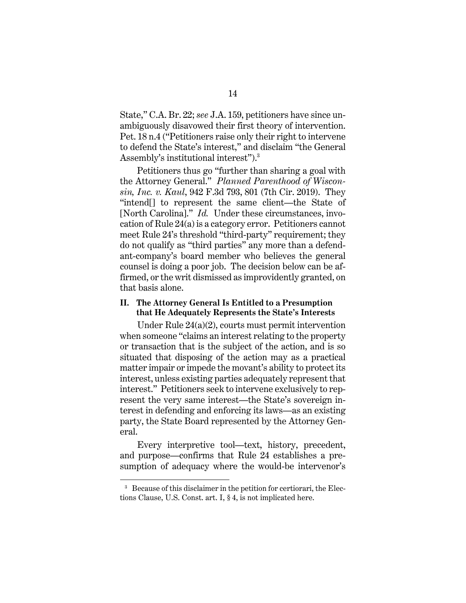State," C.A. Br. 22; *see* J.A. 159, petitioners have since unambiguously disavowed their first theory of intervention. Pet. 18 n.4 ("Petitioners raise only their right to intervene to defend the State's interest," and disclaim "the General Assembly's institutional interest").3

Petitioners thus go "further than sharing a goal with the Attorney General." *Planned Parenthood of Wisconsin, Inc. v. Kaul*, 942 F.3d 793, 801 (7th Cir. 2019). They "intend[] to represent the same client—the State of [North Carolina]." *Id.* Under these circumstances, invocation of Rule 24(a) is a category error. Petitioners cannot meet Rule 24's threshold "third-party" requirement; they do not qualify as "third parties" any more than a defendant-company's board member who believes the general counsel is doing a poor job. The decision below can be affirmed, or the writ dismissed as improvidently granted, on that basis alone.

# **II. The Attorney General Is Entitled to a Presumption that He Adequately Represents the State's Interests**

Under Rule 24(a)(2), courts must permit intervention when someone "claims an interest relating to the property or transaction that is the subject of the action, and is so situated that disposing of the action may as a practical matter impair or impede the movant's ability to protect its interest, unless existing parties adequately represent that interest." Petitioners seek to intervene exclusively to represent the very same interest—the State's sovereign interest in defending and enforcing its laws—as an existing party, the State Board represented by the Attorney General.

Every interpretive tool—text, history, precedent, and purpose—confirms that Rule 24 establishes a presumption of adequacy where the would-be intervenor's

<sup>&</sup>lt;sup>3</sup> Because of this disclaimer in the petition for certiorari, the Elections Clause, U.S. Const. art. I, § 4, is not implicated here.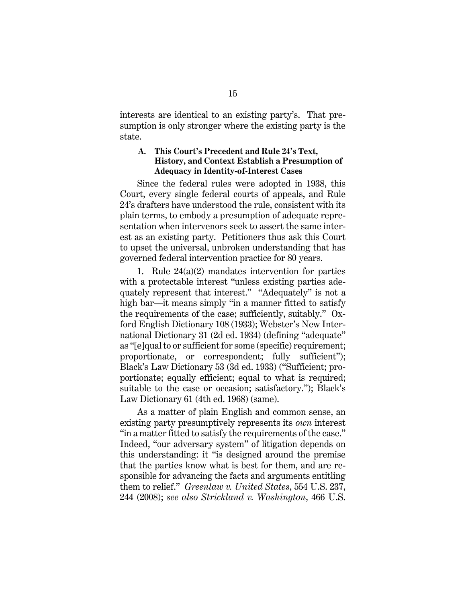interests are identical to an existing party's. That presumption is only stronger where the existing party is the state.

### **A. This Court's Precedent and Rule 24's Text, History, and Context Establish a Presumption of Adequacy in Identity-of-Interest Cases**

Since the federal rules were adopted in 1938, this Court, every single federal courts of appeals, and Rule 24's drafters have understood the rule, consistent with its plain terms, to embody a presumption of adequate representation when intervenors seek to assert the same interest as an existing party. Petitioners thus ask this Court to upset the universal, unbroken understanding that has governed federal intervention practice for 80 years.

1. Rule 24(a)(2) mandates intervention for parties with a protectable interest "unless existing parties adequately represent that interest." "Adequately" is not a high bar—it means simply "in a manner fitted to satisfy the requirements of the case; sufficiently, suitably." Oxford English Dictionary 108 (1933); Webster's New International Dictionary 31 (2d ed. 1934) (defining "adequate" as "[e]qual to or sufficient for some (specific) requirement; proportionate, or correspondent; fully sufficient"); Black's Law Dictionary 53 (3d ed. 1933) ("Sufficient; proportionate; equally efficient; equal to what is required; suitable to the case or occasion; satisfactory."); Black's Law Dictionary 61 (4th ed. 1968) (same).

As a matter of plain English and common sense, an existing party presumptively represents its *own* interest "in a matter fitted to satisfy the requirements of the case." Indeed, "our adversary system" of litigation depends on this understanding: it "is designed around the premise that the parties know what is best for them, and are responsible for advancing the facts and arguments entitling them to relief." *Greenlaw v. United States*, 554 U.S. 237, 244 (2008); *see also Strickland v. Washington*, 466 U.S.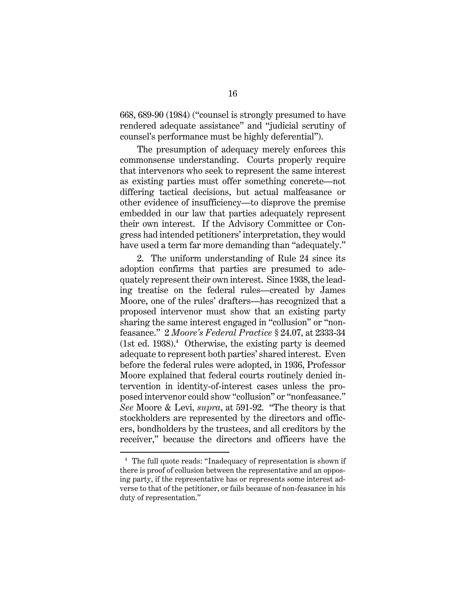668, 689-90 (1984) ("counsel is strongly presumed to have rendered adequate assistance" and "judicial scrutiny of counsel's performance must be highly deferential").

The presumption of adequacy merely enforces this commonsense understanding. Courts properly require that intervenors who seek to represent the same interest as existing parties must offer something concrete—not differing tactical decisions, but actual malfeasance or other evidence of insufficiency—to disprove the premise embedded in our law that parties adequately represent their own interest. If the Advisory Committee or Congress had intended petitioners' interpretation, they would have used a term far more demanding than "adequately."

2. The uniform understanding of Rule 24 since its adoption confirms that parties are presumed to adequately represent their own interest. Since 1938, the leading treatise on the federal rules—created by James Moore, one of the rules' drafters—has recognized that a proposed intervenor must show that an existing party sharing the same interest engaged in "collusion" or "nonfeasance." 2 *Moore's Federal Practice* § 24.07, at 2333-34  $(1st ed. 1938).<sup>4</sup>$  Otherwise, the existing party is deemed adequate to represent both parties' shared interest. Even before the federal rules were adopted, in 1936, Professor Moore explained that federal courts routinely denied intervention in identity-of-interest cases unless the proposed intervenor could show "collusion" or "nonfeasance." *See* Moore & Levi, *supra*, at 591-92. "The theory is that stockholders are represented by the directors and officers, bondholders by the trustees, and all creditors by the receiver," because the directors and officers have the

<sup>4</sup> The full quote reads: "Inadequacy of representation is shown if there is proof of collusion between the representative and an opposing party, if the representative has or represents some interest adverse to that of the petitioner, or fails because of non-feasance in his duty of representation."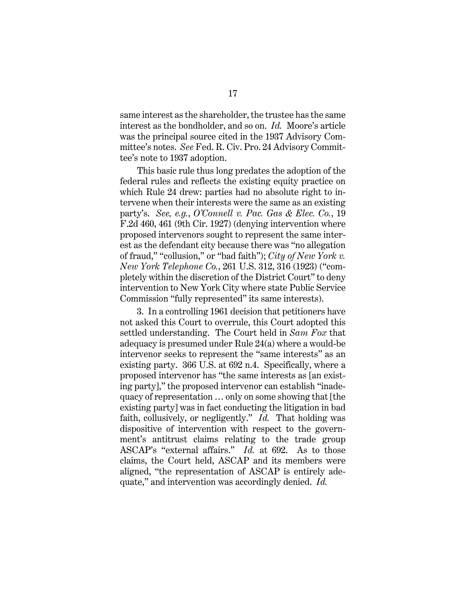same interest as the shareholder, the trustee has the same interest as the bondholder, and so on. *Id.* Moore's article was the principal source cited in the 1937 Advisory Committee's notes. *See* Fed. R. Civ. Pro. 24 Advisory Committee's note to 1937 adoption.

This basic rule thus long predates the adoption of the federal rules and reflects the existing equity practice on which Rule 24 drew: parties had no absolute right to intervene when their interests were the same as an existing party's. *See, e.g.*, *O'Connell v. Pac. Gas & Elec. Co.*, 19 F.2d 460, 461 (9th Cir. 1927) (denying intervention where proposed intervenors sought to represent the same interest as the defendant city because there was "no allegation of fraud," "collusion," or "bad faith"); *City of New York v. New York Telephone Co.*, 261 U.S. 312, 316 (1923) ("completely within the discretion of the District Court" to deny intervention to New York City where state Public Service Commission "fully represented" its same interests).

3. In a controlling 1961 decision that petitioners have not asked this Court to overrule, this Court adopted this settled understanding. The Court held in *Sam Fox* that adequacy is presumed under Rule 24(a) where a would-be intervenor seeks to represent the "same interests" as an existing party. 366 U.S. at 692 n.4. Specifically, where a proposed intervenor has "the same interests as [an existing party]," the proposed intervenor can establish "inadequacy of representation … only on some showing that [the existing party] was in fact conducting the litigation in bad faith, collusively, or negligently." *Id.* That holding was dispositive of intervention with respect to the government's antitrust claims relating to the trade group ASCAP's "external affairs." *Id.* at 692. As to those claims, the Court held, ASCAP and its members were aligned, "the representation of ASCAP is entirely adequate," and intervention was accordingly denied. *Id.*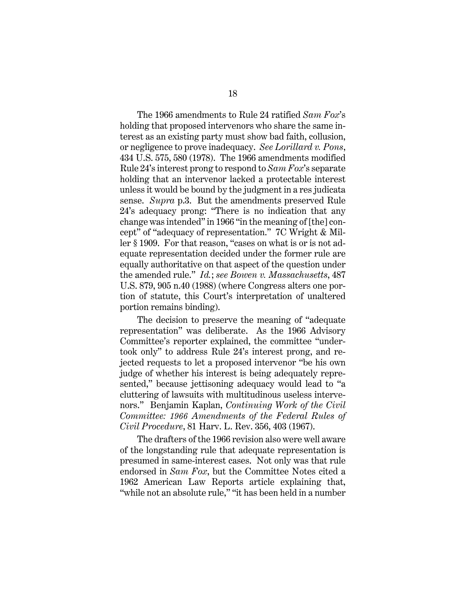The 1966 amendments to Rule 24 ratified *Sam Fox*'s holding that proposed intervenors who share the same interest as an existing party must show bad faith, collusion, or negligence to prove inadequacy. *See Lorillard v. Pons*, 434 U.S. 575, 580 (1978). The 1966 amendments modified Rule 24's interest prong to respond to *Sam Fox*'s separate holding that an intervenor lacked a protectable interest unless it would be bound by the judgment in a res judicata sense. *Supra* p.3. But the amendments preserved Rule 24's adequacy prong: "There is no indication that any change was intended" in 1966 "in the meaning of [the] concept" of "adequacy of representation." 7C Wright & Miller § 1909. For that reason, "cases on what is or is not adequate representation decided under the former rule are equally authoritative on that aspect of the question under the amended rule." *Id.*; *see Bowen v. Massachusetts*, 487 U.S. 879, 905 n.40 (1988) (where Congress alters one portion of statute, this Court's interpretation of unaltered portion remains binding).

The decision to preserve the meaning of "adequate representation" was deliberate. As the 1966 Advisory Committee's reporter explained, the committee "undertook only" to address Rule 24's interest prong, and rejected requests to let a proposed intervenor "be his own judge of whether his interest is being adequately represented," because jettisoning adequacy would lead to "a cluttering of lawsuits with multitudinous useless intervenors." Benjamin Kaplan, *Continuing Work of the Civil Committee: 1966 Amendments of the Federal Rules of Civil Procedure*, 81 Harv. L. Rev. 356, 403 (1967).

The drafters of the 1966 revision also were well aware of the longstanding rule that adequate representation is presumed in same-interest cases. Not only was that rule endorsed in *Sam Fox*, but the Committee Notes cited a 1962 American Law Reports article explaining that, "while not an absolute rule," "it has been held in a number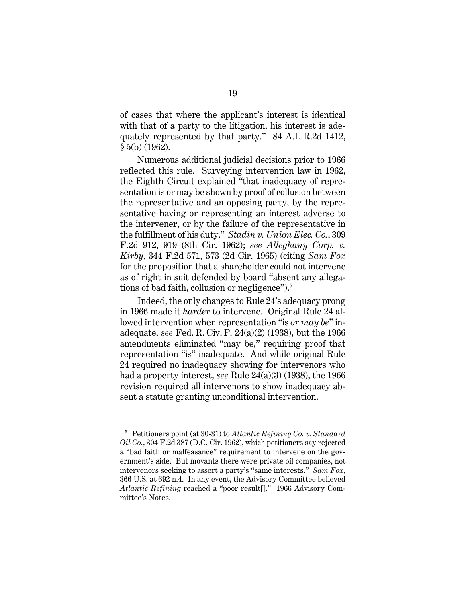of cases that where the applicant's interest is identical with that of a party to the litigation, his interest is adequately represented by that party." 84 A.L.R.2d 1412, § 5(b) (1962).

Numerous additional judicial decisions prior to 1966 reflected this rule. Surveying intervention law in 1962, the Eighth Circuit explained "that inadequacy of representation is or may be shown by proof of collusion between the representative and an opposing party, by the representative having or representing an interest adverse to the intervener, or by the failure of the representative in the fulfillment of his duty." *Stadin v. Union Elec. Co.*, 309 F.2d 912, 919 (8th Cir. 1962); *see Alleghany Corp. v. Kirby*, 344 F.2d 571, 573 (2d Cir. 1965) (citing *Sam Fox* for the proposition that a shareholder could not intervene as of right in suit defended by board "absent any allegations of bad faith, collusion or negligence").<sup>5</sup>

Indeed, the only changes to Rule 24's adequacy prong in 1966 made it *harder* to intervene. Original Rule 24 allowed intervention when representation "is *or may be*" inadequate, *see* Fed. R. Civ. P. 24(a)(2) (1938), but the 1966 amendments eliminated "may be," requiring proof that representation "is" inadequate. And while original Rule 24 required no inadequacy showing for intervenors who had a property interest, *see* Rule 24(a)(3) (1938), the 1966 revision required all intervenors to show inadequacy absent a statute granting unconditional intervention.

<sup>5</sup> Petitioners point (at 30-31) to *Atlantic Refining Co. v. Standard Oil Co.*, 304 F.2d 387 (D.C. Cir. 1962), which petitioners say rejected a "bad faith or malfeasance" requirement to intervene on the government's side. But movants there were private oil companies, not intervenors seeking to assert a party's "same interests." *Sam Fox*, 366 U.S. at 692 n.4. In any event, the Advisory Committee believed *Atlantic Refining* reached a "poor result[]." 1966 Advisory Committee's Notes.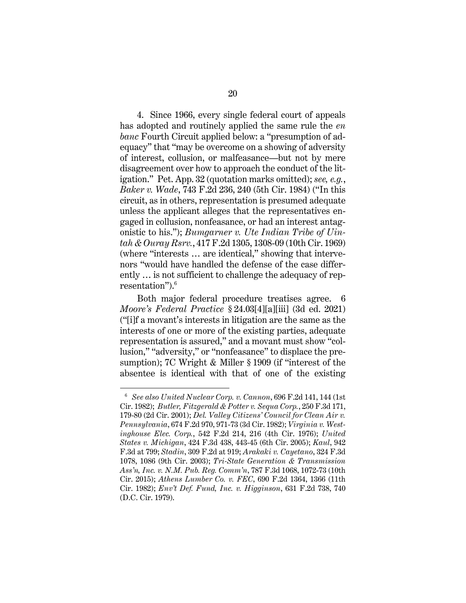4. Since 1966, every single federal court of appeals has adopted and routinely applied the same rule the *en banc* Fourth Circuit applied below: a "presumption of adequacy" that "may be overcome on a showing of adversity of interest, collusion, or malfeasance—but not by mere disagreement over how to approach the conduct of the litigation." Pet. App. 32 (quotation marks omitted); *see, e.g.*, *Baker v. Wade*, 743 F.2d 236, 240 (5th Cir. 1984) ("In this circuit, as in others, representation is presumed adequate unless the applicant alleges that the representatives engaged in collusion, nonfeasance, or had an interest antagonistic to his."); *Bumgarner v. Ute Indian Tribe of Uintah & Ouray Rsrv.*, 417 F.2d 1305, 1308-09 (10th Cir. 1969) (where "interests … are identical," showing that intervenors "would have handled the defense of the case differently … is not sufficient to challenge the adequacy of representation").<sup>6</sup>

Both major federal procedure treatises agree. 6 *Moore's Federal Practice* § 24.03[4][a][iii] (3d ed. 2021) ("[i]f a movant's interests in litigation are the same as the interests of one or more of the existing parties, adequate representation is assured," and a movant must show "collusion," "adversity," or "nonfeasance" to displace the presumption); 7C Wright & Miller § 1909 (if "interest of the absentee is identical with that of one of the existing

<sup>6</sup>*See also United Nuclear Corp. v. Cannon*, 696 F.2d 141, 144 (1st Cir. 1982); *Butler, Fitzgerald & Potter v. Sequa Corp.*, 250 F.3d 171, 179-80 (2d Cir. 2001); *Del. Valley Citizens' Council for Clean Air v. Pennsylvania*, 674 F.2d 970, 971-73 (3d Cir. 1982); *Virginia v. Westinghouse Elec. Corp.*, 542 F.2d 214, 216 (4th Cir. 1976); *United States v. Michigan*, 424 F.3d 438, 443-45 (6th Cir. 2005); *Kaul*, 942 F.3d at 799; *Stadin*, 309 F.2d at 919; *Arakaki v. Cayetano*, 324 F.3d 1078, 1086 (9th Cir. 2003); *Tri-State Generation & Transmission Ass'n, Inc. v. N.M. Pub. Reg. Comm'n*, 787 F.3d 1068, 1072-73 (10th Cir. 2015); *Athens Lumber Co. v. FEC*, 690 F.2d 1364, 1366 (11th Cir. 1982); *Env't Def. Fund, Inc. v. Higginson*, 631 F.2d 738, 740 (D.C. Cir. 1979).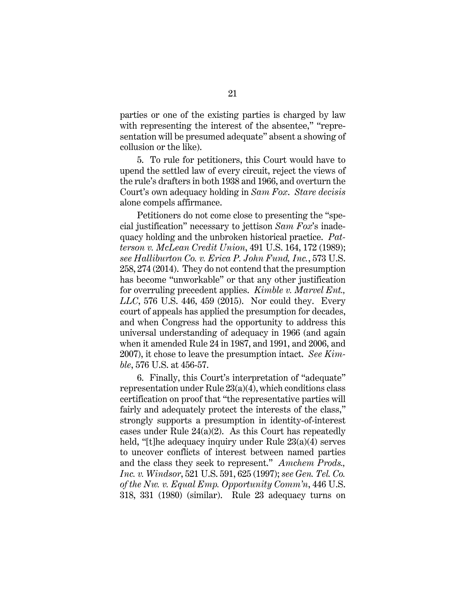parties or one of the existing parties is charged by law with representing the interest of the absentee," "representation will be presumed adequate" absent a showing of collusion or the like).

5. To rule for petitioners, this Court would have to upend the settled law of every circuit, reject the views of the rule's drafters in both 1938 and 1966, and overturn the Court's own adequacy holding in *Sam Fox*. *Stare decisis*  alone compels affirmance.

Petitioners do not come close to presenting the "special justification" necessary to jettison *Sam Fox*'s inadequacy holding and the unbroken historical practice. *Patterson v. McLean Credit Union*, 491 U.S. 164, 172 (1989); *see Halliburton Co. v. Erica P. John Fund, Inc.*, 573 U.S. 258, 274 (2014). They do not contend that the presumption has become "unworkable" or that any other justification for overruling precedent applies. *Kimble v. Marvel Ent., LLC*, 576 U.S. 446, 459 (2015). Nor could they. Every court of appeals has applied the presumption for decades, and when Congress had the opportunity to address this universal understanding of adequacy in 1966 (and again when it amended Rule 24 in 1987, and 1991, and 2006, and 2007), it chose to leave the presumption intact. *See Kimble*, 576 U.S. at 456-57.

6. Finally, this Court's interpretation of "adequate" representation under Rule 23(a)(4), which conditions class certification on proof that "the representative parties will fairly and adequately protect the interests of the class," strongly supports a presumption in identity-of-interest cases under Rule 24(a)(2). As this Court has repeatedly held, "[t]he adequacy inquiry under Rule  $23(a)(4)$  serves to uncover conflicts of interest between named parties and the class they seek to represent." *Amchem Prods., Inc. v. Windsor*, 521 U.S. 591, 625 (1997); *see Gen. Tel. Co. of the Nw. v. Equal Emp. Opportunity Comm'n*, 446 U.S. 318, 331 (1980) (similar). Rule 23 adequacy turns on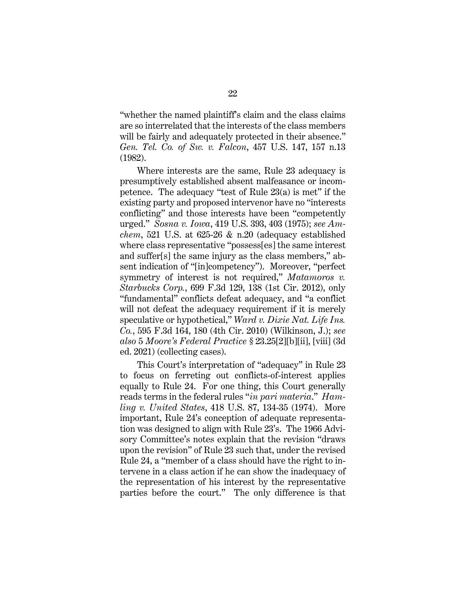"whether the named plaintiff's claim and the class claims are so interrelated that the interests of the class members will be fairly and adequately protected in their absence." *Gen. Tel. Co. of Sw. v. Falcon*, 457 U.S. 147, 157 n.13 (1982).

Where interests are the same, Rule 23 adequacy is presumptively established absent malfeasance or incompetence. The adequacy "test of Rule 23(a) is met" if the existing party and proposed intervenor have no "interests conflicting" and those interests have been "competently urged." *Sosna v. Iowa*, 419 U.S. 393, 403 (1975); *see Amchem*, 521 U.S. at 625-26 & n.20 (adequacy established where class representative "possess[es] the same interest and suffer[s] the same injury as the class members," absent indication of "[in]competency"). Moreover, "perfect symmetry of interest is not required," *Matamoros v. Starbucks Corp.*, 699 F.3d 129, 138 (1st Cir. 2012), only "fundamental" conflicts defeat adequacy, and "a conflict will not defeat the adequacy requirement if it is merely speculative or hypothetical," *Ward v. Dixie Nat. Life Ins. Co.*, 595 F.3d 164, 180 (4th Cir. 2010) (Wilkinson, J.); *see also* 5 *Moore's Federal Practice* § 23.25[2][b][ii], [viii] (3d ed. 2021) (collecting cases).

This Court's interpretation of "adequacy" in Rule 23 to focus on ferreting out conflicts-of-interest applies equally to Rule 24. For one thing, this Court generally reads terms in the federal rules "*in pari materia*." *Hamling v. United States*, 418 U.S. 87, 134-35 (1974). More important, Rule 24's conception of adequate representation was designed to align with Rule 23's. The 1966 Advisory Committee's notes explain that the revision "draws upon the revision" of Rule 23 such that, under the revised Rule 24, a "member of a class should have the right to intervene in a class action if he can show the inadequacy of the representation of his interest by the representative parties before the court." The only difference is that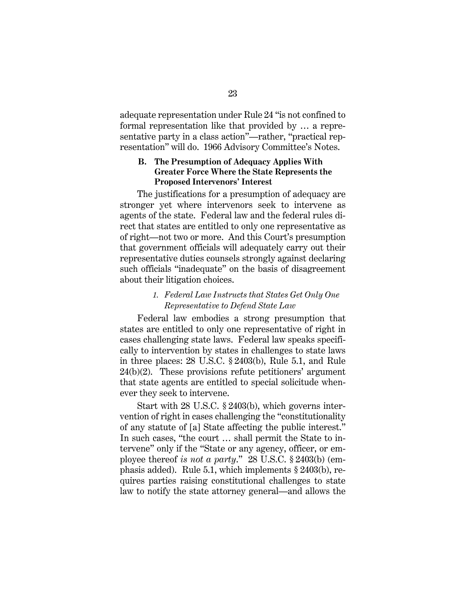adequate representation under Rule 24 "is not confined to formal representation like that provided by … a representative party in a class action"—rather, "practical representation" will do. 1966 Advisory Committee's Notes.

#### **B. The Presumption of Adequacy Applies With Greater Force Where the State Represents the Proposed Intervenors' Interest**

The justifications for a presumption of adequacy are stronger yet where intervenors seek to intervene as agents of the state. Federal law and the federal rules direct that states are entitled to only one representative as of right—not two or more. And this Court's presumption that government officials will adequately carry out their representative duties counsels strongly against declaring such officials "inadequate" on the basis of disagreement about their litigation choices.

## *1. Federal Law Instructs that States Get Only One Representative to Defend State Law*

Federal law embodies a strong presumption that states are entitled to only one representative of right in cases challenging state laws. Federal law speaks specifically to intervention by states in challenges to state laws in three places: 28 U.S.C. § 2403(b), Rule 5.1, and Rule  $24(b)(2)$ . These provisions refute petitioners' argument that state agents are entitled to special solicitude whenever they seek to intervene.

Start with 28 U.S.C. § 2403(b), which governs intervention of right in cases challenging the "constitutionality of any statute of [a] State affecting the public interest." In such cases, "the court … shall permit the State to intervene" only if the "State or any agency, officer, or employee thereof *is not a party*." 28 U.S.C. § 2403(b) (emphasis added). Rule 5.1, which implements § 2403(b), requires parties raising constitutional challenges to state law to notify the state attorney general—and allows the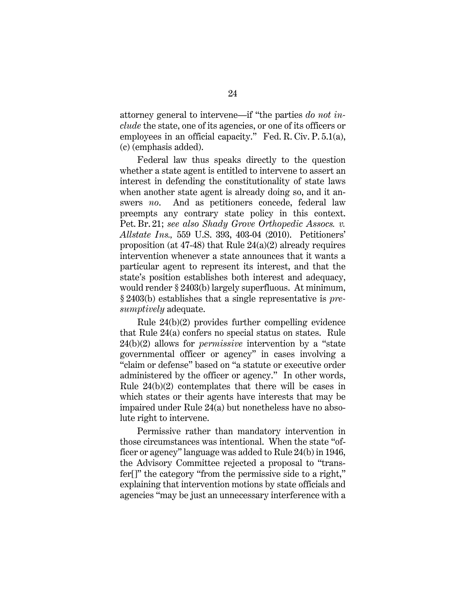attorney general to intervene—if "the parties *do not include* the state, one of its agencies, or one of its officers or employees in an official capacity." Fed. R. Civ. P. 5.1(a), (c) (emphasis added).

Federal law thus speaks directly to the question whether a state agent is entitled to intervene to assert an interest in defending the constitutionality of state laws when another state agent is already doing so, and it answers *no*. And as petitioners concede, federal law preempts any contrary state policy in this context. Pet. Br. 21; *see also Shady Grove Orthopedic Assocs. v. Allstate Ins.,* 559 U.S. 393, 403-04 (2010). Petitioners' proposition (at 47-48) that Rule 24(a)(2) already requires intervention whenever a state announces that it wants a particular agent to represent its interest, and that the state's position establishes both interest and adequacy, would render § 2403(b) largely superfluous. At minimum, § 2403(b) establishes that a single representative is *presumptively* adequate.

Rule 24(b)(2) provides further compelling evidence that Rule 24(a) confers no special status on states. Rule 24(b)(2) allows for *permissive* intervention by a "state governmental officer or agency" in cases involving a "claim or defense" based on "a statute or executive order administered by the officer or agency." In other words, Rule 24(b)(2) contemplates that there will be cases in which states or their agents have interests that may be impaired under Rule 24(a) but nonetheless have no absolute right to intervene.

Permissive rather than mandatory intervention in those circumstances was intentional. When the state "officer or agency" language was added to Rule 24(b) in 1946, the Advisory Committee rejected a proposal to "transfer[]" the category "from the permissive side to a right," explaining that intervention motions by state officials and agencies "may be just an unnecessary interference with a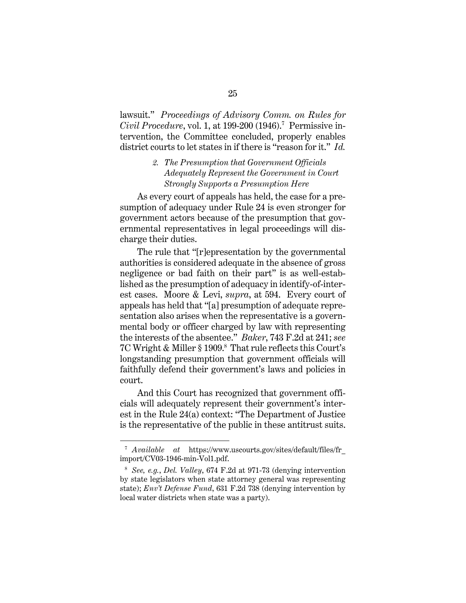lawsuit." *Proceedings of Advisory Comm. on Rules for Civil Procedure*, vol. 1, at 199-200 (1946).<sup>7</sup> Permissive intervention, the Committee concluded, properly enables district courts to let states in if there is "reason for it." *Id.*

# *2. The Presumption that Government Officials Adequately Represent the Government in Court Strongly Supports a Presumption Here*

As every court of appeals has held, the case for a presumption of adequacy under Rule 24 is even stronger for government actors because of the presumption that governmental representatives in legal proceedings will discharge their duties.

The rule that "[r]epresentation by the governmental authorities is considered adequate in the absence of gross negligence or bad faith on their part" is as well-established as the presumption of adequacy in identify-of-interest cases. Moore & Levi, *supra*, at 594. Every court of appeals has held that "[a] presumption of adequate representation also arises when the representative is a governmental body or officer charged by law with representing the interests of the absentee." *Baker*, 743 F.2d at 241; *see*  7C Wright & Miller § 1909.<sup>8</sup> That rule reflects this Court's longstanding presumption that government officials will faithfully defend their government's laws and policies in court.

And this Court has recognized that government officials will adequately represent their government's interest in the Rule 24(a) context: "The Department of Justice is the representative of the public in these antitrust suits.

<sup>7</sup> *Available at* https://www.uscourts.gov/sites/default/files/fr\_ import/CV03-1946-min-Vol1.pdf.

<sup>8</sup> *See, e.g.*, *Del. Valley*, 674 F.2d at 971-73 (denying intervention by state legislators when state attorney general was representing state); *Env't Defense Fund*, 631 F.2d 738 (denying intervention by local water districts when state was a party).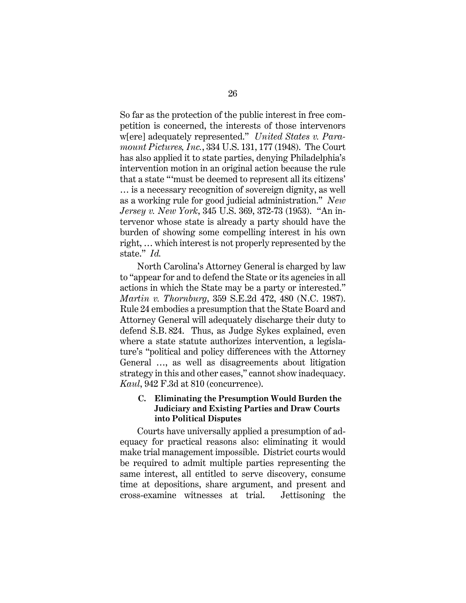So far as the protection of the public interest in free competition is concerned, the interests of those intervenors w[ere] adequately represented." *United States v. Paramount Pictures, Inc.*, 334 U.S. 131, 177 (1948). The Court has also applied it to state parties, denying Philadelphia's intervention motion in an original action because the rule that a state "'must be deemed to represent all its citizens' … is a necessary recognition of sovereign dignity, as well as a working rule for good judicial administration." *New Jersey v. New York*, 345 U.S. 369, 372-73 (1953). "An intervenor whose state is already a party should have the burden of showing some compelling interest in his own right, … which interest is not properly represented by the state." *Id.*

North Carolina's Attorney General is charged by law to "appear for and to defend the State or its agencies in all actions in which the State may be a party or interested." *Martin v. Thornburg*, 359 S.E.2d 472, 480 (N.C. 1987). Rule 24 embodies a presumption that the State Board and Attorney General will adequately discharge their duty to defend S.B. 824. Thus, as Judge Sykes explained, even where a state statute authorizes intervention, a legislature's "political and policy differences with the Attorney General …, as well as disagreements about litigation strategy in this and other cases," cannot show inadequacy. *Kaul*, 942 F.3d at 810 (concurrence).

# **C. Eliminating the Presumption Would Burden the Judiciary and Existing Parties and Draw Courts into Political Disputes**

Courts have universally applied a presumption of adequacy for practical reasons also: eliminating it would make trial management impossible. District courts would be required to admit multiple parties representing the same interest, all entitled to serve discovery, consume time at depositions, share argument, and present and cross-examine witnesses at trial. Jettisoning the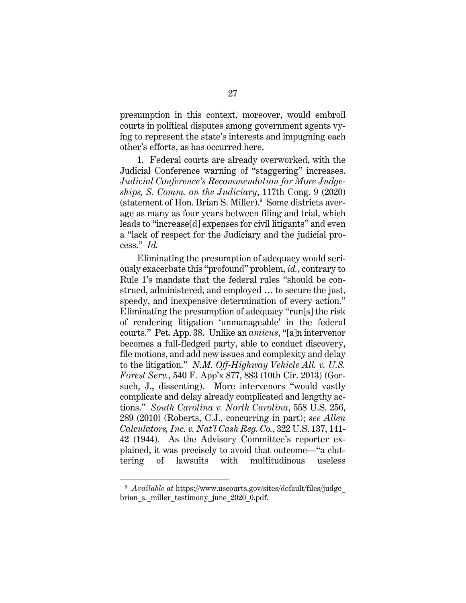presumption in this context, moreover, would embroil courts in political disputes among government agents vying to represent the state's interests and impugning each other's efforts, as has occurred here.

1. Federal courts are already overworked, with the Judicial Conference warning of "staggering" increases. *Judicial Conference's Recommendation for More Judgeships, S. Comm. on the Judiciary*, 117th Cong. 9 (2020) (statement of Hon. Brian S. Miller).<sup>9</sup> Some districts average as many as four years between filing and trial, which leads to "increase[d] expenses for civil litigants" and even a "lack of respect for the Judiciary and the judicial process." *Id.* 

Eliminating the presumption of adequacy would seriously exacerbate this "profound" problem, *id.*, contrary to Rule 1's mandate that the federal rules "should be construed, administered, and employed … to secure the just, speedy, and inexpensive determination of every action." Eliminating the presumption of adequacy "run[s] the risk of rendering litigation 'unmanageable' in the federal courts." Pet. App. 38. Unlike an *amicus*, "[a]n intervenor becomes a full-fledged party, able to conduct discovery, file motions, and add new issues and complexity and delay to the litigation." *N.M. Off-Highway Vehicle All. v. U.S. Forest Serv.*, 540 F. App'x 877, 883 (10th Cir. 2013) (Gorsuch, J., dissenting). More intervenors "would vastly complicate and delay already complicated and lengthy actions." *South Carolina v. North Carolina*, 558 U.S. 256, 289 (2010) (Roberts, C.J., concurring in part); *see Allen Calculators, Inc. v. Nat'l Cash Reg. Co.*, 322 U.S. 137, 141- 42 (1944). As the Advisory Committee's reporter explained, it was precisely to avoid that outcome—"a cluttering of lawsuits with multitudinous useless

<sup>9</sup> *Available at* https://www.uscourts.gov/sites/default/files/judge\_ brian s. miller testimony june 2020 0.pdf.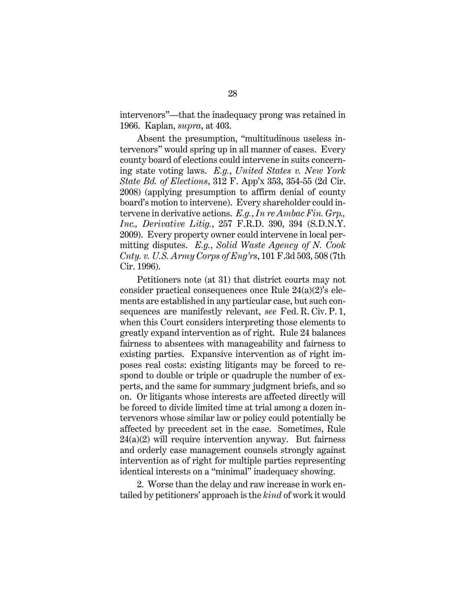intervenors"—that the inadequacy prong was retained in 1966. Kaplan, *supra*, at 403.

Absent the presumption, "multitudinous useless intervenors" would spring up in all manner of cases. Every county board of elections could intervene in suits concerning state voting laws. *E.g.*, *United States v. New York State Bd. of Elections*, 312 F. App'x 353, 354-55 (2d Cir. 2008) (applying presumption to affirm denial of county board's motion to intervene). Every shareholder could intervene in derivative actions. *E.g.*, *In re Ambac Fin. Grp., Inc., Derivative Litig.*, 257 F.R.D. 390, 394 (S.D.N.Y. 2009). Every property owner could intervene in local permitting disputes. *E.g.*, *Solid Waste Agency of N. Cook Cnty. v. U.S. Army Corps of Eng'rs*, 101 F.3d 503, 508 (7th Cir. 1996).

Petitioners note (at 31) that district courts may not consider practical consequences once Rule 24(a)(2)'s elements are established in any particular case, but such consequences are manifestly relevant, *see* Fed. R. Civ. P. 1, when this Court considers interpreting those elements to greatly expand intervention as of right. Rule 24 balances fairness to absentees with manageability and fairness to existing parties. Expansive intervention as of right imposes real costs: existing litigants may be forced to respond to double or triple or quadruple the number of experts, and the same for summary judgment briefs, and so on. Or litigants whose interests are affected directly will be forced to divide limited time at trial among a dozen intervenors whose similar law or policy could potentially be affected by precedent set in the case. Sometimes, Rule  $24(a)(2)$  will require intervention anyway. But fairness and orderly case management counsels strongly against intervention as of right for multiple parties representing identical interests on a "minimal" inadequacy showing.

2. Worse than the delay and raw increase in work entailed by petitioners' approach is the *kind* of work it would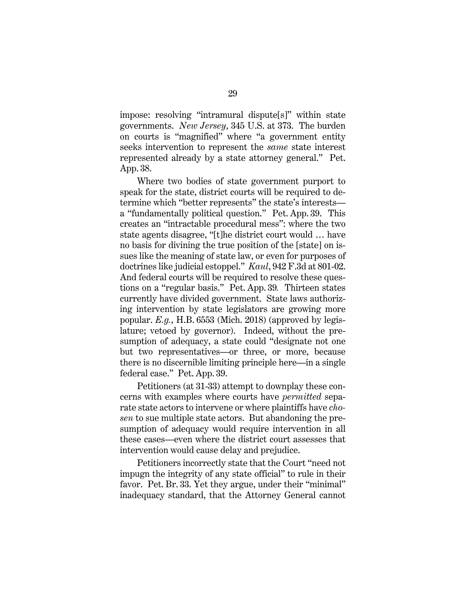impose: resolving "intramural dispute[s]" within state governments. *New Jersey*, 345 U.S. at 373. The burden on courts is "magnified" where "a government entity seeks intervention to represent the *same* state interest represented already by a state attorney general." Pet. App. 38.

Where two bodies of state government purport to speak for the state, district courts will be required to determine which "better represents" the state's interests a "fundamentally political question." Pet. App. 39. This creates an "intractable procedural mess": where the two state agents disagree, "[t]he district court would … have no basis for divining the true position of the [state] on issues like the meaning of state law, or even for purposes of doctrines like judicial estoppel." *Kaul*, 942 F.3d at 801-02. And federal courts will be required to resolve these questions on a "regular basis." Pet. App. 39*.* Thirteen states currently have divided government. State laws authorizing intervention by state legislators are growing more popular. *E.g.*, H.B. 6553 (Mich. 2018) (approved by legislature; vetoed by governor). Indeed, without the presumption of adequacy, a state could "designate not one but two representatives—or three, or more, because there is no discernible limiting principle here—in a single federal case." Pet. App. 39.

Petitioners (at 31-33) attempt to downplay these concerns with examples where courts have *permitted* separate state actors to intervene or where plaintiffs have *chosen* to sue multiple state actors. But abandoning the presumption of adequacy would require intervention in all these cases—even where the district court assesses that intervention would cause delay and prejudice.

Petitioners incorrectly state that the Court "need not impugn the integrity of any state official" to rule in their favor. Pet. Br. 33. Yet they argue, under their "minimal" inadequacy standard, that the Attorney General cannot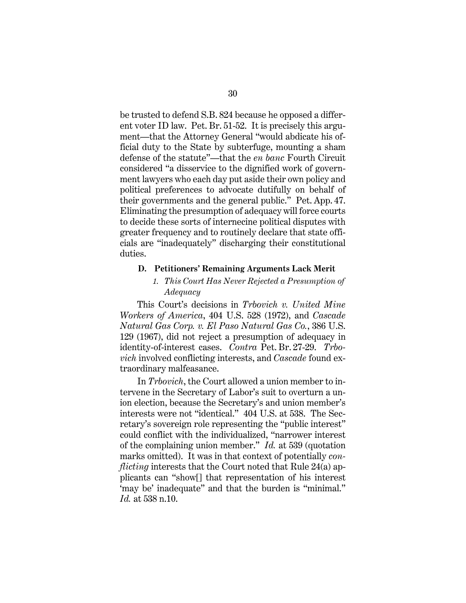be trusted to defend S.B. 824 because he opposed a different voter ID law. Pet. Br. 51-52. It is precisely this argument—that the Attorney General "would abdicate his official duty to the State by subterfuge, mounting a sham defense of the statute"—that the *en banc* Fourth Circuit considered "a disservice to the dignified work of government lawyers who each day put aside their own policy and political preferences to advocate dutifully on behalf of their governments and the general public." Pet. App. 47. Eliminating the presumption of adequacy will force courts to decide these sorts of internecine political disputes with greater frequency and to routinely declare that state officials are "inadequately" discharging their constitutional duties.

#### **D. Petitioners' Remaining Arguments Lack Merit**

# *1. This Court Has Never Rejected a Presumption of Adequacy*

This Court's decisions in *Trbovich v. United Mine Workers of America*, 404 U.S. 528 (1972), and *Cascade Natural Gas Corp. v. El Paso Natural Gas Co.*, 386 U.S. 129 (1967), did not reject a presumption of adequacy in identity-of-interest cases. *Contra* Pet. Br. 27-29. *Trbovich* involved conflicting interests, and *Cascade* found extraordinary malfeasance.

In *Trbovich*, the Court allowed a union member to intervene in the Secretary of Labor's suit to overturn a union election, because the Secretary's and union member's interests were not "identical." 404 U.S. at 538. The Secretary's sovereign role representing the "public interest" could conflict with the individualized, "narrower interest of the complaining union member." *Id.* at 539 (quotation marks omitted). It was in that context of potentially *conflicting* interests that the Court noted that Rule 24(a) applicants can "show[] that representation of his interest 'may be' inadequate" and that the burden is "minimal." *Id.* at 538 n.10.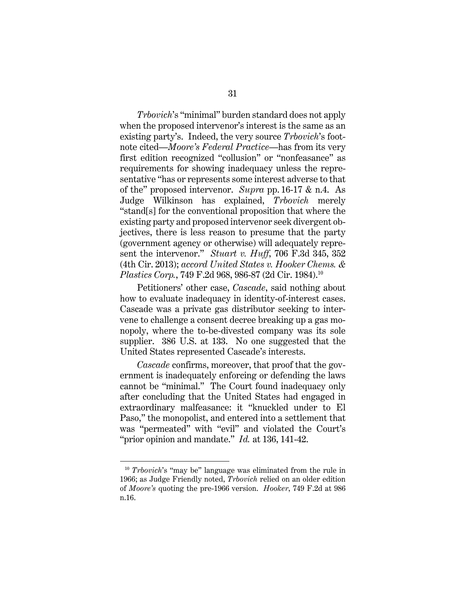*Trbovich*'s "minimal" burden standard does not apply when the proposed intervenor's interest is the same as an existing party's. Indeed, the very source *Trbovich*'s footnote cited—*Moore's Federal Practice*—has from its very first edition recognized "collusion" or "nonfeasance" as requirements for showing inadequacy unless the representative "has or represents some interest adverse to that of the" proposed intervenor. *Supra* pp. 16-17 & n.4. As Judge Wilkinson has explained, *Trbovich* merely "stand[s] for the conventional proposition that where the existing party and proposed intervenor seek divergent objectives, there is less reason to presume that the party (government agency or otherwise) will adequately represent the intervenor." *Stuart v. Huff*, 706 F.3d 345, 352 (4th Cir. 2013); *accord United States v. Hooker Chems. & Plastics Corp.*, 749 F.2d 968, 986-87 (2d Cir. 1984).<sup>10</sup>

Petitioners' other case, *Cascade*, said nothing about how to evaluate inadequacy in identity-of-interest cases. Cascade was a private gas distributor seeking to intervene to challenge a consent decree breaking up a gas monopoly, where the to-be-divested company was its sole supplier. 386 U.S. at 133. No one suggested that the United States represented Cascade's interests.

*Cascade* confirms, moreover, that proof that the government is inadequately enforcing or defending the laws cannot be "minimal." The Court found inadequacy only after concluding that the United States had engaged in extraordinary malfeasance: it "knuckled under to El Paso," the monopolist, and entered into a settlement that was "permeated" with "evil" and violated the Court's "prior opinion and mandate." *Id.* at 136, 141-42.

<sup>10</sup> *Trbovich*'s "may be" language was eliminated from the rule in 1966; as Judge Friendly noted, *Trbovich* relied on an older edition of *Moore's* quoting the pre-1966 version. *Hooker*, 749 F.2d at 986 n.16.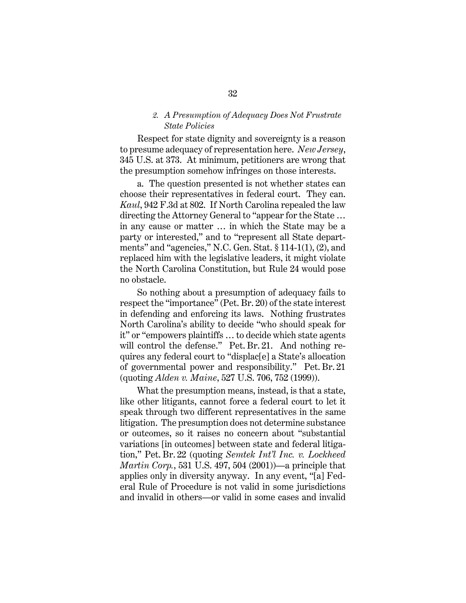#### *2. A Presumption of Adequacy Does Not Frustrate State Policies*

Respect for state dignity and sovereignty is a reason to presume adequacy of representation here. *New Jersey*, 345 U.S. at 373. At minimum, petitioners are wrong that the presumption somehow infringes on those interests.

a. The question presented is not whether states can choose their representatives in federal court. They can. *Kaul*, 942 F.3d at 802. If North Carolina repealed the law directing the Attorney General to "appear for the State … in any cause or matter … in which the State may be a party or interested," and to "represent all State departments" and "agencies," N.C. Gen. Stat. § 114-1(1), (2), and replaced him with the legislative leaders, it might violate the North Carolina Constitution, but Rule 24 would pose no obstacle.

So nothing about a presumption of adequacy fails to respect the "importance" (Pet. Br. 20) of the state interest in defending and enforcing its laws. Nothing frustrates North Carolina's ability to decide "who should speak for it" or "empowers plaintiffs … to decide which state agents will control the defense." Pet. Br. 21. And nothing requires any federal court to "displac[e] a State's allocation of governmental power and responsibility." Pet. Br. 21 (quoting *Alden v. Maine*, 527 U.S. 706, 752 (1999)).

What the presumption means, instead, is that a state, like other litigants, cannot force a federal court to let it speak through two different representatives in the same litigation. The presumption does not determine substance or outcomes, so it raises no concern about "substantial variations [in outcomes] between state and federal litigation," Pet. Br. 22 (quoting *Semtek Int'l Inc. v. Lockheed Martin Corp.*, 531 U.S. 497, 504 (2001))—a principle that applies only in diversity anyway. In any event, "[a] Federal Rule of Procedure is not valid in some jurisdictions and invalid in others—or valid in some cases and invalid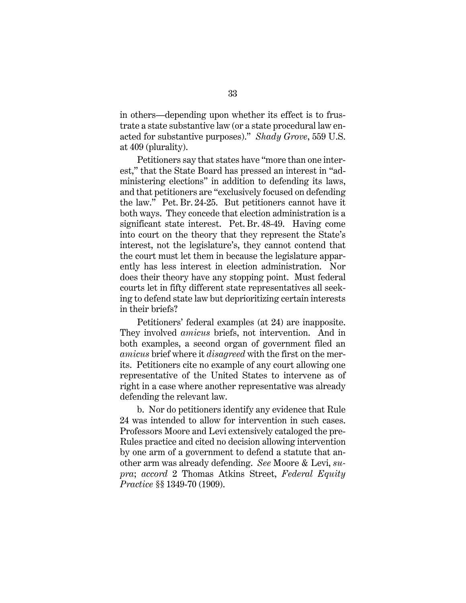in others—depending upon whether its effect is to frustrate a state substantive law (or a state procedural law enacted for substantive purposes)." *Shady Grove*, 559 U.S. at 409 (plurality).

Petitioners say that states have "more than one interest," that the State Board has pressed an interest in "administering elections" in addition to defending its laws, and that petitioners are "exclusively focused on defending the law." Pet. Br. 24-25. But petitioners cannot have it both ways. They concede that election administration is a significant state interest. Pet. Br. 48-49. Having come into court on the theory that they represent the State's interest, not the legislature's, they cannot contend that the court must let them in because the legislature apparently has less interest in election administration. Nor does their theory have any stopping point. Must federal courts let in fifty different state representatives all seeking to defend state law but deprioritizing certain interests in their briefs?

Petitioners' federal examples (at 24) are inapposite. They involved *amicus* briefs, not intervention. And in both examples, a second organ of government filed an *amicus* brief where it *disagreed* with the first on the merits. Petitioners cite no example of any court allowing one representative of the United States to intervene as of right in a case where another representative was already defending the relevant law.

b. Nor do petitioners identify any evidence that Rule 24 was intended to allow for intervention in such cases. Professors Moore and Levi extensively cataloged the pre-Rules practice and cited no decision allowing intervention by one arm of a government to defend a statute that another arm was already defending. *See* Moore & Levi, *supra*; *accord* 2 Thomas Atkins Street, *Federal Equity Practice* §§ 1349-70 (1909).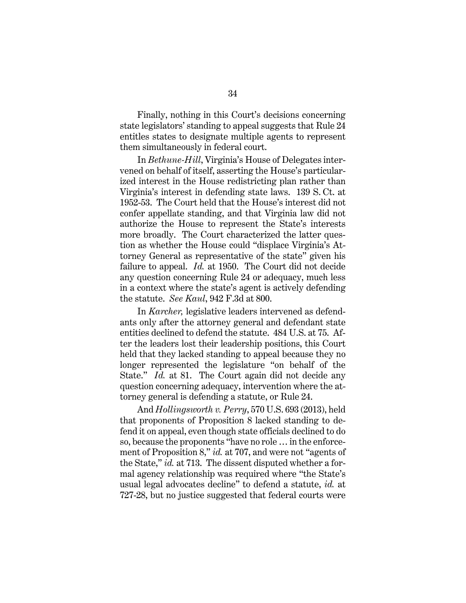Finally, nothing in this Court's decisions concerning state legislators' standing to appeal suggests that Rule 24 entitles states to designate multiple agents to represent them simultaneously in federal court.

In *Bethune-Hill*, Virginia's House of Delegates intervened on behalf of itself, asserting the House's particularized interest in the House redistricting plan rather than Virginia's interest in defending state laws. 139 S. Ct. at 1952-53. The Court held that the House's interest did not confer appellate standing, and that Virginia law did not authorize the House to represent the State's interests more broadly. The Court characterized the latter question as whether the House could "displace Virginia's Attorney General as representative of the state" given his failure to appeal. *Id.* at 1950. The Court did not decide any question concerning Rule 24 or adequacy, much less in a context where the state's agent is actively defending the statute. *See Kaul*, 942 F.3d at 800.

In *Karcher,* legislative leaders intervened as defendants only after the attorney general and defendant state entities declined to defend the statute. 484 U.S. at 75. After the leaders lost their leadership positions, this Court held that they lacked standing to appeal because they no longer represented the legislature "on behalf of the State." *Id.* at 81. The Court again did not decide any question concerning adequacy, intervention where the attorney general is defending a statute, or Rule 24.

And *Hollingsworth v. Perry*, 570 U.S. 693 (2013), held that proponents of Proposition 8 lacked standing to defend it on appeal, even though state officials declined to do so, because the proponents "have no role … in the enforcement of Proposition 8," *id.* at 707, and were not "agents of the State," *id.* at 713. The dissent disputed whether a formal agency relationship was required where "the State's usual legal advocates decline" to defend a statute, *id.* at 727-28, but no justice suggested that federal courts were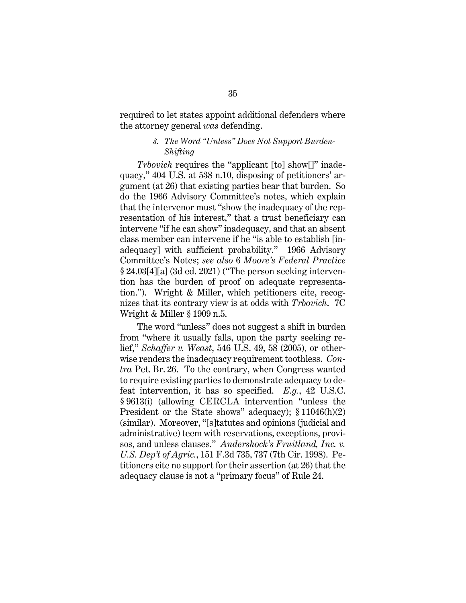required to let states appoint additional defenders where the attorney general *was* defending.

## *3. The Word "Unless" Does Not Support Burden-Shifting*

*Trbovich* requires the "applicant [to] show[]" inadequacy," 404 U.S. at 538 n.10, disposing of petitioners' argument (at 26) that existing parties bear that burden. So do the 1966 Advisory Committee's notes, which explain that the intervenor must "show the inadequacy of the representation of his interest," that a trust beneficiary can intervene "if he can show" inadequacy, and that an absent class member can intervene if he "is able to establish [inadequacy] with sufficient probability." 1966 Advisory Committee's Notes; *see also* 6 *Moore's Federal Practice* § 24.03[4][a] (3d ed. 2021) ("The person seeking intervention has the burden of proof on adequate representation."). Wright & Miller, which petitioners cite, recognizes that its contrary view is at odds with *Trbovich*. 7C Wright & Miller § 1909 n.5.

The word "unless" does not suggest a shift in burden from "where it usually falls, upon the party seeking relief," *Schaffer v. Weast*, 546 U.S. 49, 58 (2005), or otherwise renders the inadequacy requirement toothless. *Contra* Pet. Br. 26. To the contrary, when Congress wanted to require existing parties to demonstrate adequacy to defeat intervention, it has so specified. *E.g.*, 42 U.S.C. § 9613(i) (allowing CERCLA intervention "unless the President or the State shows" adequacy); § 11046(h)(2) (similar). Moreover, "[s]tatutes and opinions (judicial and administrative) teem with reservations, exceptions, provisos, and unless clauses." *Andershock's Fruitland, Inc. v. U.S. Dep't of Agric.*, 151 F.3d 735, 737 (7th Cir. 1998). Petitioners cite no support for their assertion (at 26) that the adequacy clause is not a "primary focus" of Rule 24.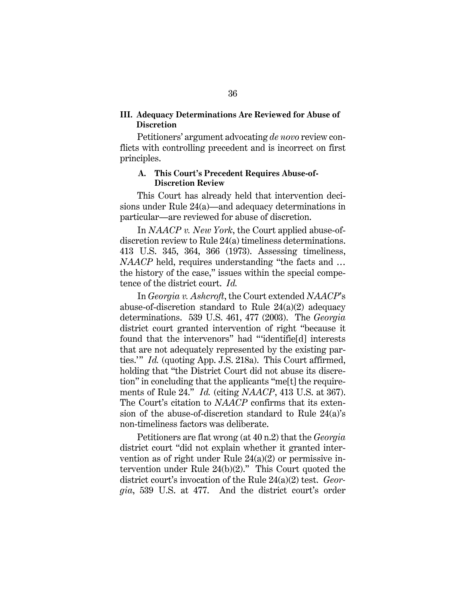#### **III. Adequacy Determinations Are Reviewed for Abuse of Discretion**

Petitioners' argument advocating *de novo* review conflicts with controlling precedent and is incorrect on first principles.

#### **A. This Court's Precedent Requires Abuse-of-Discretion Review**

This Court has already held that intervention decisions under Rule 24(a)—and adequacy determinations in particular—are reviewed for abuse of discretion.

In *NAACP v. New York*, the Court applied abuse-ofdiscretion review to Rule 24(a) timeliness determinations. 413 U.S. 345, 364, 366 (1973). Assessing timeliness, *NAACP* held, requires understanding "the facts and ... the history of the case," issues within the special competence of the district court. *Id.*

In *Georgia v. Ashcroft*, the Court extended *NAACP*'s abuse-of-discretion standard to Rule 24(a)(2) adequacy determinations. 539 U.S. 461, 477 (2003). The *Georgia*  district court granted intervention of right "because it found that the intervenors" had "'identifie[d] interests that are not adequately represented by the existing parties.'" *Id.* (quoting App. J.S. 218a). This Court affirmed, holding that "the District Court did not abuse its discretion" in concluding that the applicants "me[t] the requirements of Rule 24." *Id.* (citing *NAACP*, 413 U.S. at 367). The Court's citation to *NAACP* confirms that its extension of the abuse-of-discretion standard to Rule 24(a)'s non-timeliness factors was deliberate.

Petitioners are flat wrong (at 40 n.2) that the *Georgia*  district court "did not explain whether it granted intervention as of right under Rule 24(a)(2) or permissive intervention under Rule 24(b)(2)." This Court quoted the district court's invocation of the Rule 24(a)(2) test. *Georgia*, 539 U.S. at 477. And the district court's order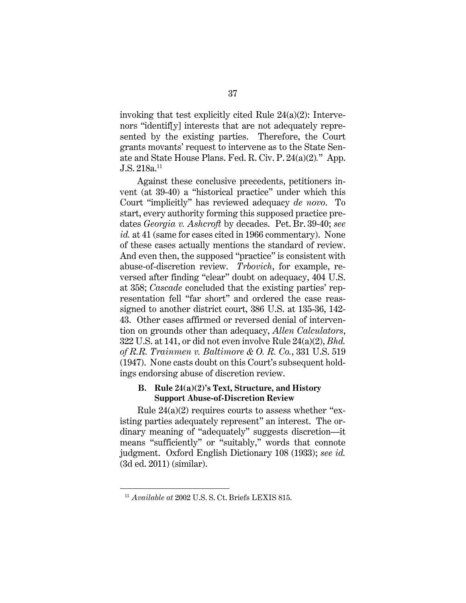invoking that test explicitly cited Rule 24(a)(2): Intervenors "identif[y] interests that are not adequately represented by the existing parties. Therefore, the Court grants movants' request to intervene as to the State Senate and State House Plans. Fed. R. Civ. P. 24(a)(2)*.*" App. J.S. 218a.11

Against these conclusive precedents, petitioners invent (at 39-40) a "historical practice" under which this Court "implicitly" has reviewed adequacy *de novo*. To start, every authority forming this supposed practice predates *Georgia v. Ashcroft* by decades. Pet. Br. 39-40; *see id.* at 41 (same for cases cited in 1966 commentary). None of these cases actually mentions the standard of review. And even then, the supposed "practice" is consistent with abuse-of-discretion review. *Trbovich*, for example, reversed after finding "clear" doubt on adequacy, 404 U.S. at 358; *Cascade* concluded that the existing parties' representation fell "far short" and ordered the case reassigned to another district court, 386 U.S. at 135-36, 142- 43. Other cases affirmed or reversed denial of intervention on grounds other than adequacy, *Allen Calculators*, 322 U.S. at 141, or did not even involve Rule 24(a)(2), *Bhd. of R.R. Trainmen v. Baltimore & O. R. Co.*, 331 U.S. 519 (1947). None casts doubt on this Court's subsequent holdings endorsing abuse of discretion review.

# **B. Rule 24(a)(2)'s Text, Structure, and History Support Abuse-of-Discretion Review**

Rule  $24(a)(2)$  requires courts to assess whether "existing parties adequately represent" an interest. The ordinary meaning of "adequately" suggests discretion—it means "sufficiently" or "suitably," words that connote judgment. Oxford English Dictionary 108 (1933); *see id.* (3d ed. 2011) (similar).

<sup>11</sup> *Available at* 2002 U.S. S. Ct. Briefs LEXIS 815.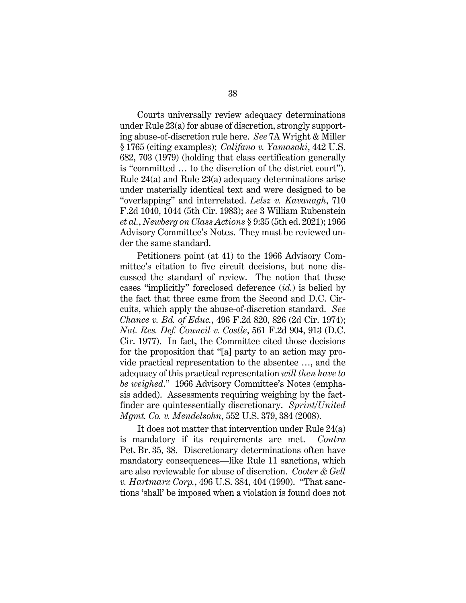Courts universally review adequacy determinations under Rule 23(a) for abuse of discretion, strongly supporting abuse-of-discretion rule here. *See* 7A Wright & Miller § 1765 (citing examples); *Califano v. Yamasaki*, 442 U.S. 682, 703 (1979) (holding that class certification generally is "committed … to the discretion of the district court"). Rule 24(a) and Rule 23(a) adequacy determinations arise under materially identical text and were designed to be "overlapping" and interrelated. *Lelsz v. Kavanagh*, 710 F.2d 1040, 1044 (5th Cir. 1983); *see* 3 William Rubenstein *et al.*, *Newberg on Class Actions* § 9:35 (5th ed. 2021); 1966 Advisory Committee's Notes. They must be reviewed under the same standard.

Petitioners point (at 41) to the 1966 Advisory Committee's citation to five circuit decisions, but none discussed the standard of review. The notion that these cases "implicitly" foreclosed deference (*id.*) is belied by the fact that three came from the Second and D.C. Circuits, which apply the abuse-of-discretion standard. *See Chance v. Bd. of Educ.*, 496 F.2d 820, 826 (2d Cir. 1974); *Nat. Res. Def. Council v. Costle*, 561 F.2d 904, 913 (D.C. Cir. 1977). In fact, the Committee cited those decisions for the proposition that "[a] party to an action may provide practical representation to the absentee …, and the adequacy of this practical representation *will then have to be weighed*." 1966 Advisory Committee's Notes (emphasis added). Assessments requiring weighing by the factfinder are quintessentially discretionary. *Sprint/United Mgmt. Co. v. Mendelsohn*, 552 U.S. 379, 384 (2008).

It does not matter that intervention under Rule 24(a) is mandatory if its requirements are met. *Contra*  Pet. Br. 35, 38. Discretionary determinations often have mandatory consequences—like Rule 11 sanctions, which are also reviewable for abuse of discretion. *Cooter & Gell v. Hartmarx Corp.*, 496 U.S. 384, 404 (1990). "That sanctions 'shall' be imposed when a violation is found does not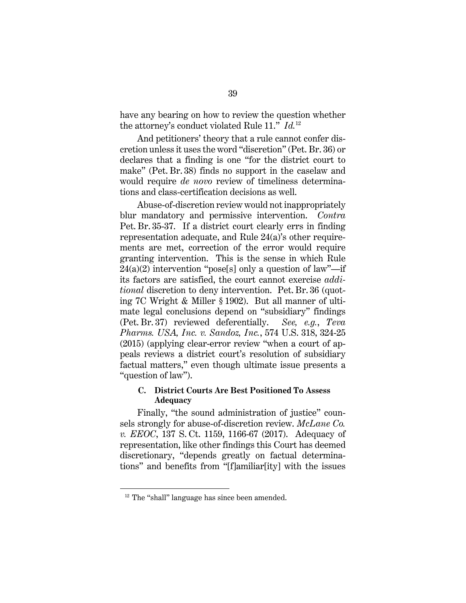have any bearing on how to review the question whether the attorney's conduct violated Rule 11." *Id.*<sup>12</sup>

And petitioners' theory that a rule cannot confer discretion unless it uses the word "discretion" (Pet. Br. 36) or declares that a finding is one "for the district court to make" (Pet. Br. 38) finds no support in the caselaw and would require *de novo* review of timeliness determinations and class-certification decisions as well.

Abuse-of-discretion review would not inappropriately blur mandatory and permissive intervention. *Contra*  Pet. Br. 35-37. If a district court clearly errs in finding representation adequate, and Rule 24(a)'s other requirements are met, correction of the error would require granting intervention. This is the sense in which Rule  $24(a)(2)$  intervention "pose[s] only a question of law"—if its factors are satisfied, the court cannot exercise *additional* discretion to deny intervention. Pet. Br. 36 (quoting 7C Wright & Miller § 1902). But all manner of ultimate legal conclusions depend on "subsidiary" findings (Pet. Br. 37) reviewed deferentially. *See, e.g.*, *Teva Pharms. USA, Inc. v. Sandoz, Inc.*, 574 U.S. 318, 324-25 (2015) (applying clear-error review "when a court of appeals reviews a district court's resolution of subsidiary factual matters," even though ultimate issue presents a "question of law").

## **C. District Courts Are Best Positioned To Assess Adequacy**

Finally, "the sound administration of justice" counsels strongly for abuse-of-discretion review. *McLane Co. v. EEOC*, 137 S. Ct. 1159, 1166-67 (2017). Adequacy of representation, like other findings this Court has deemed discretionary, "depends greatly on factual determinations" and benefits from "[f]amiliar[ity] with the issues

<sup>&</sup>lt;sup>12</sup> The "shall" language has since been amended.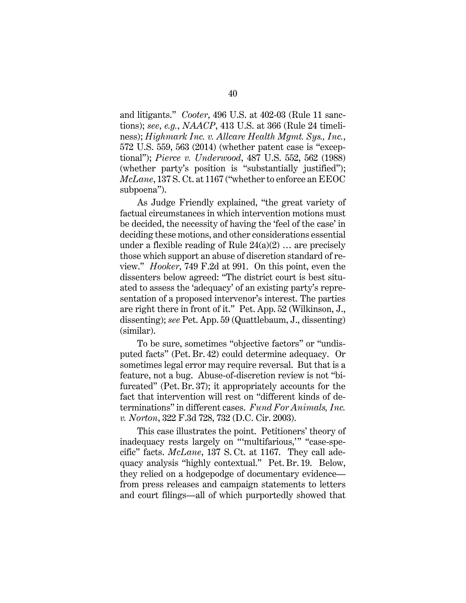and litigants." *Cooter*, 496 U.S. at 402-03 (Rule 11 sanctions); *see*, *e.g.*, *NAACP*, 413 U.S. at 366 (Rule 24 timeliness); *Highmark Inc. v. Allcare Health Mgmt. Sys., Inc.*, 572 U.S. 559, 563 (2014) (whether patent case is "exceptional"); *Pierce v. Underwood*, 487 U.S. 552, 562 (1988) (whether party's position is "substantially justified"); *McLane*, 137 S. Ct. at 1167 ("whether to enforce an EEOC subpoena").

As Judge Friendly explained, "the great variety of factual circumstances in which intervention motions must be decided, the necessity of having the 'feel of the case' in deciding these motions, and other considerations essential under a flexible reading of Rule  $24(a)(2)$  ... are precisely those which support an abuse of discretion standard of review." *Hooker*, 749 F.2d at 991. On this point, even the dissenters below agreed: "The district court is best situated to assess the 'adequacy' of an existing party's representation of a proposed intervenor's interest. The parties are right there in front of it." Pet. App. 52 (Wilkinson, J., dissenting); *see* Pet. App. 59 (Quattlebaum, J., dissenting) (similar).

To be sure, sometimes "objective factors" or "undisputed facts" (Pet. Br. 42) could determine adequacy. Or sometimes legal error may require reversal. But that is a feature, not a bug. Abuse-of-discretion review is not "bifurcated" (Pet. Br. 37); it appropriately accounts for the fact that intervention will rest on "different kinds of determinations" in different cases. *Fund For Animals, Inc. v. Norton*, 322 F.3d 728, 732 (D.C. Cir. 2003).

This case illustrates the point. Petitioners' theory of inadequacy rests largely on "'multifarious,'" "case-specific" facts. *McLane*, 137 S. Ct. at 1167. They call adequacy analysis "highly contextual." Pet. Br. 19. Below, they relied on a hodgepodge of documentary evidence from press releases and campaign statements to letters and court filings—all of which purportedly showed that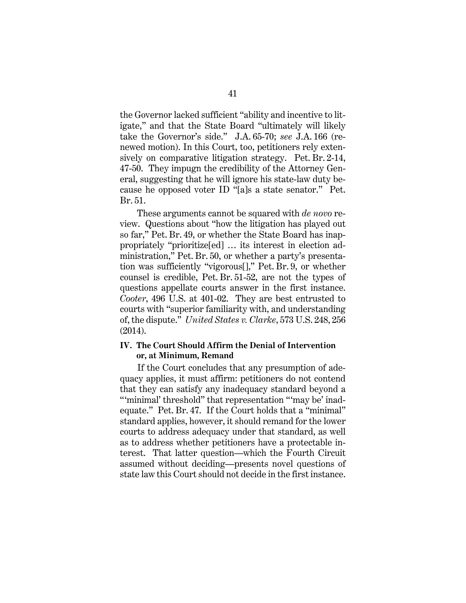the Governor lacked sufficient "ability and incentive to litigate," and that the State Board "ultimately will likely take the Governor's side." J.A. 65-70; *see* J.A. 166 (renewed motion). In this Court, too, petitioners rely extensively on comparative litigation strategy. Pet. Br. 2-14, 47-50. They impugn the credibility of the Attorney General, suggesting that he will ignore his state-law duty because he opposed voter ID "[a]s a state senator." Pet. Br. 51.

These arguments cannot be squared with *de novo* review. Questions about "how the litigation has played out so far," Pet. Br. 49, or whether the State Board has inappropriately "prioritize[ed] … its interest in election administration," Pet. Br. 50, or whether a party's presentation was sufficiently "vigorous[]," Pet. Br. 9, or whether counsel is credible, Pet. Br. 51-52, are not the types of questions appellate courts answer in the first instance. *Cooter*, 496 U.S. at 401-02. They are best entrusted to courts with "superior familiarity with, and understanding of, the dispute." *United States v. Clarke*, 573 U.S. 248, 256 (2014).

#### **IV. The Court Should Affirm the Denial of Intervention or, at Minimum, Remand**

If the Court concludes that any presumption of adequacy applies, it must affirm: petitioners do not contend that they can satisfy any inadequacy standard beyond a ""minimal' threshold" that representation ""may be' inadequate." Pet. Br. 47. If the Court holds that a "minimal" standard applies, however, it should remand for the lower courts to address adequacy under that standard, as well as to address whether petitioners have a protectable interest. That latter question—which the Fourth Circuit assumed without deciding—presents novel questions of state law this Court should not decide in the first instance.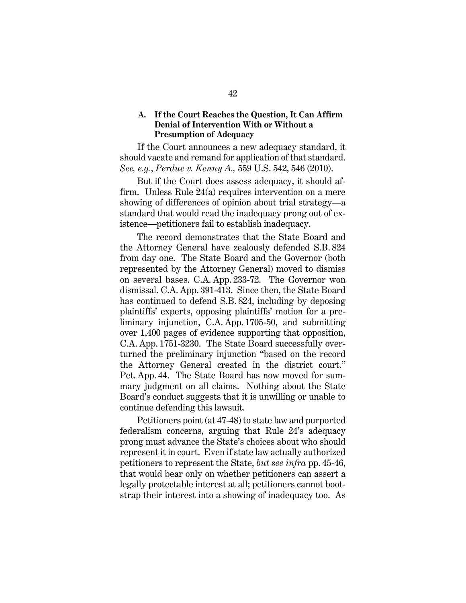#### **A. If the Court Reaches the Question, It Can Affirm Denial of Intervention With or Without a Presumption of Adequacy**

If the Court announces a new adequacy standard, it should vacate and remand for application of that standard. *See, e.g.*, *Perdue v. Kenny A.,* 559 U.S. 542, 546 (2010).

But if the Court does assess adequacy, it should affirm. Unless Rule 24(a) requires intervention on a mere showing of differences of opinion about trial strategy—a standard that would read the inadequacy prong out of existence—petitioners fail to establish inadequacy.

The record demonstrates that the State Board and the Attorney General have zealously defended S.B. 824 from day one. The State Board and the Governor (both represented by the Attorney General) moved to dismiss on several bases. C.A. App. 233-72. The Governor won dismissal. C.A. App. 391-413. Since then, the State Board has continued to defend S.B. 824, including by deposing plaintiffs' experts, opposing plaintiffs' motion for a preliminary injunction, C.A. App. 1705-50, and submitting over 1,400 pages of evidence supporting that opposition, C.A. App. 1751-3230. The State Board successfully overturned the preliminary injunction "based on the record the Attorney General created in the district court." Pet. App. 44. The State Board has now moved for summary judgment on all claims. Nothing about the State Board's conduct suggests that it is unwilling or unable to continue defending this lawsuit.

Petitioners point (at 47-48) to state law and purported federalism concerns, arguing that Rule 24's adequacy prong must advance the State's choices about who should represent it in court. Even if state law actually authorized petitioners to represent the State, *but see infra* pp. 45-46, that would bear only on whether petitioners can assert a legally protectable interest at all; petitioners cannot bootstrap their interest into a showing of inadequacy too. As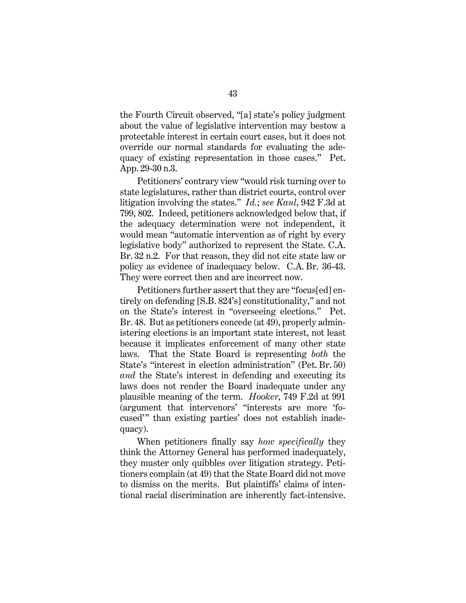the Fourth Circuit observed, "[a] state's policy judgment about the value of legislative intervention may bestow a protectable interest in certain court cases, but it does not override our normal standards for evaluating the adequacy of existing representation in those cases." Pet. App. 29-30 n.3.

Petitioners' contrary view "would risk turning over to state legislatures, rather than district courts, control over litigation involving the states." *Id.*; *see Kaul*, 942 F.3d at 799, 802. Indeed, petitioners acknowledged below that, if the adequacy determination were not independent, it would mean "automatic intervention as of right by every legislative body" authorized to represent the State. C.A. Br. 32 n.2. For that reason, they did not cite state law or policy as evidence of inadequacy below. C.A. Br.  36-43. They were correct then and are incorrect now.

Petitioners further assert that they are "focus[ed] entirely on defending [S.B. 824's] constitutionality," and not on the State's interest in "overseeing elections." Pet. Br. 48. But as petitioners concede (at 49), properly administering elections is an important state interest, not least because it implicates enforcement of many other state laws. That the State Board is representing *both* the State's "interest in election administration" (Pet. Br. 50) *and* the State's interest in defending and executing its laws does not render the Board inadequate under any plausible meaning of the term. *Hooker*, 749 F.2d at 991 (argument that intervenors' "interests are more 'focused'" than existing parties' does not establish inadequacy).

When petitioners finally say *how specifically* they think the Attorney General has performed inadequately, they muster only quibbles over litigation strategy. Petitioners complain (at 49) that the State Board did not move to dismiss on the merits. But plaintiffs' claims of intentional racial discrimination are inherently fact-intensive.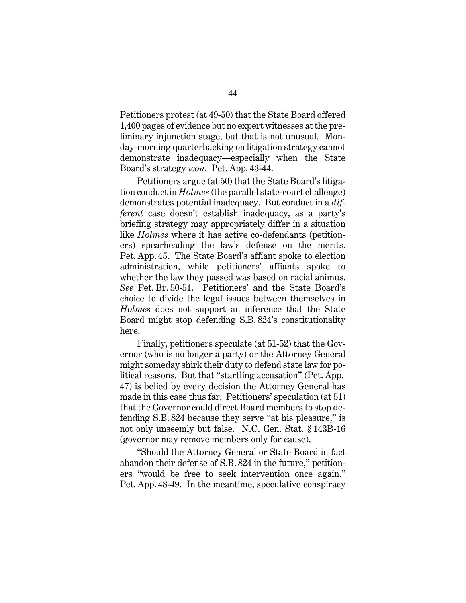Petitioners protest (at 49-50) that the State Board offered 1,400 pages of evidence but no expert witnesses at the preliminary injunction stage, but that is not unusual. Monday-morning quarterbacking on litigation strategy cannot demonstrate inadequacy—especially when the State Board's strategy *won*. Pet. App. 43-44.

Petitioners argue (at 50) that the State Board's litigation conduct in *Holmes* (the parallel state-court challenge) demonstrates potential inadequacy. But conduct in a *different* case doesn't establish inadequacy, as a party's briefing strategy may appropriately differ in a situation like *Holmes* where it has active co-defendants (petitioners) spearheading the law's defense on the merits. Pet. App. 45. The State Board's affiant spoke to election administration, while petitioners' affiants spoke to whether the law they passed was based on racial animus. *See* Pet. Br. 50-51. Petitioners' and the State Board's choice to divide the legal issues between themselves in *Holmes* does not support an inference that the State Board might stop defending S.B. 824's constitutionality here.

Finally, petitioners speculate (at 51-52) that the Governor (who is no longer a party) or the Attorney General might someday shirk their duty to defend state law for political reasons. But that "startling accusation" (Pet. App. 47) is belied by every decision the Attorney General has made in this case thus far. Petitioners' speculation (at 51) that the Governor could direct Board members to stop defending S.B. 824 because they serve "at his pleasure," is not only unseemly but false. N.C. Gen. Stat. § 143B-16 (governor may remove members only for cause).

"Should the Attorney General or State Board in fact abandon their defense of S.B. 824 in the future," petitioners "would be free to seek intervention once again." Pet. App. 48-49. In the meantime, speculative conspiracy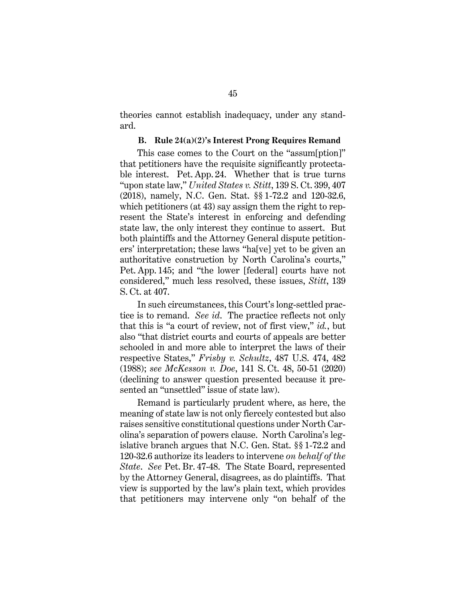theories cannot establish inadequacy, under any standard.

#### **B. Rule 24(a)(2)'s Interest Prong Requires Remand**

This case comes to the Court on the "assum[ption]" that petitioners have the requisite significantly protectable interest. Pet. App. 24. Whether that is true turns "upon state law," *United States v. Stitt*, 139 S. Ct. 399, 407 (2018), namely, N.C. Gen. Stat. §§ 1-72.2 and 120-32.6, which petitioners (at 43) say assign them the right to represent the State's interest in enforcing and defending state law, the only interest they continue to assert. But both plaintiffs and the Attorney General dispute petitioners' interpretation; these laws "ha[ve] yet to be given an authoritative construction by North Carolina's courts," Pet. App. 145; and "the lower [federal] courts have not considered," much less resolved, these issues, *Stitt*, 139 S. Ct. at 407.

In such circumstances, this Court's long-settled practice is to remand. *See id*. The practice reflects not only that this is "a court of review, not of first view," *id.*, but also "that district courts and courts of appeals are better schooled in and more able to interpret the laws of their respective States," *Frisby v. Schultz*, 487 U.S. 474, 482 (1988); *see McKesson v. Doe*, 141 S. Ct. 48, 50-51 (2020) (declining to answer question presented because it presented an "unsettled" issue of state law).

Remand is particularly prudent where, as here, the meaning of state law is not only fiercely contested but also raises sensitive constitutional questions under North Carolina's separation of powers clause. North Carolina's legislative branch argues that N.C. Gen. Stat. §§ 1-72.2 and 120-32.6 authorize its leaders to intervene *on behalf of the State*. *See* Pet. Br. 47-48. The State Board, represented by the Attorney General, disagrees, as do plaintiffs. That view is supported by the law's plain text, which provides that petitioners may intervene only "on behalf of the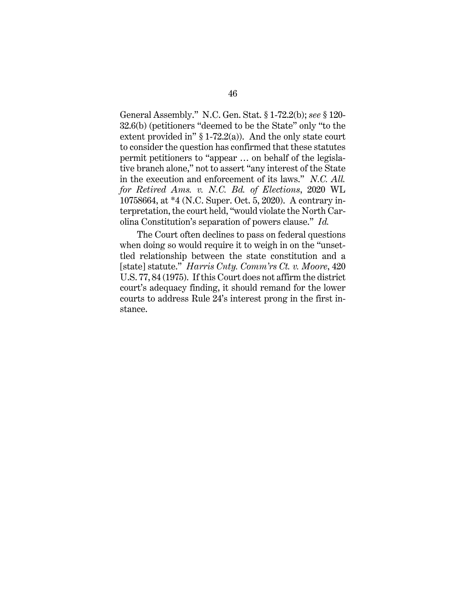General Assembly." N.C. Gen. Stat. § 1-72.2(b); *see* § 120- 32.6(b) (petitioners "deemed to be the State" only "to the extent provided in"  $§ 1-72.2(a)$ ). And the only state court to consider the question has confirmed that these statutes permit petitioners to "appear … on behalf of the legislative branch alone," not to assert "any interest of the State in the execution and enforcement of its laws." *N.C. All. for Retired Ams. v. N.C. Bd. of Elections*, 2020 WL 10758664, at \*4 (N.C. Super. Oct. 5, 2020). A contrary interpretation, the court held, "would violate the North Carolina Constitution's separation of powers clause." *Id.*

The Court often declines to pass on federal questions when doing so would require it to weigh in on the "unsettled relationship between the state constitution and a [state] statute." *Harris Cnty. Comm'rs Ct. v. Moore*, 420 U.S. 77, 84 (1975). If this Court does not affirm the district court's adequacy finding, it should remand for the lower courts to address Rule 24's interest prong in the first instance.